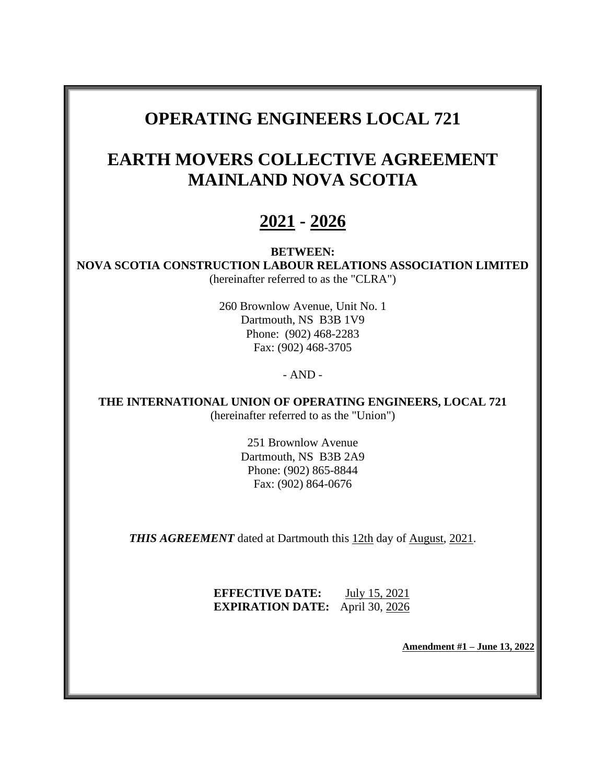# **OPERATING ENGINEERS LOCAL 721**

# **EARTH MOVERS COLLECTIVE AGREEMENT MAINLAND NOVA SCOTIA**

# **2021 - 2026**

## **BETWEEN:**

**NOVA SCOTIA CONSTRUCTION LABOUR RELATIONS ASSOCIATION LIMITED** (hereinafter referred to as the "CLRA")

> 260 Brownlow Avenue, Unit No. 1 Dartmouth, NS B3B 1V9 Phone: (902) 468-2283 Fax: (902) 468-3705

## - AND -

**THE INTERNATIONAL UNION OF OPERATING ENGINEERS, LOCAL 721** (hereinafter referred to as the "Union")

> 251 Brownlow Avenue Dartmouth, NS B3B 2A9 Phone: (902) 865-8844 Fax: (902) 864-0676

**THIS AGREEMENT** dated at Dartmouth this 12th day of August, 2021.

**EFFECTIVE DATE:** July 15, 2021 **EXPIRATION DATE:** April 30, 2026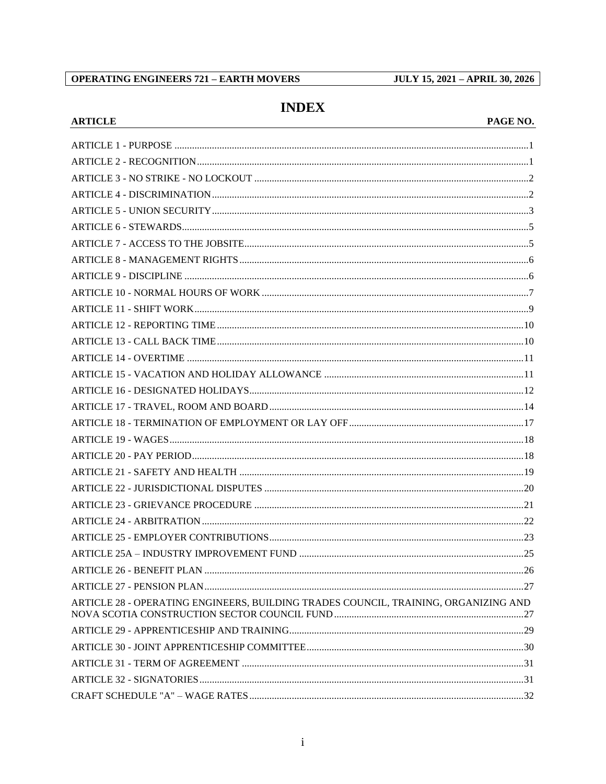## **OPERATING ENGINEERS 721 - EARTH MOVERS**

**ARTICLE** 

**JULY 15, 2021 - APRIL 30, 2026** 

## **INDEX**

## PAGE NO.

| ARTICLE 28 - OPERATING ENGINEERS, BUILDING TRADES COUNCIL, TRAINING, ORGANIZING AND |  |
|-------------------------------------------------------------------------------------|--|
|                                                                                     |  |
|                                                                                     |  |
|                                                                                     |  |
|                                                                                     |  |
|                                                                                     |  |
|                                                                                     |  |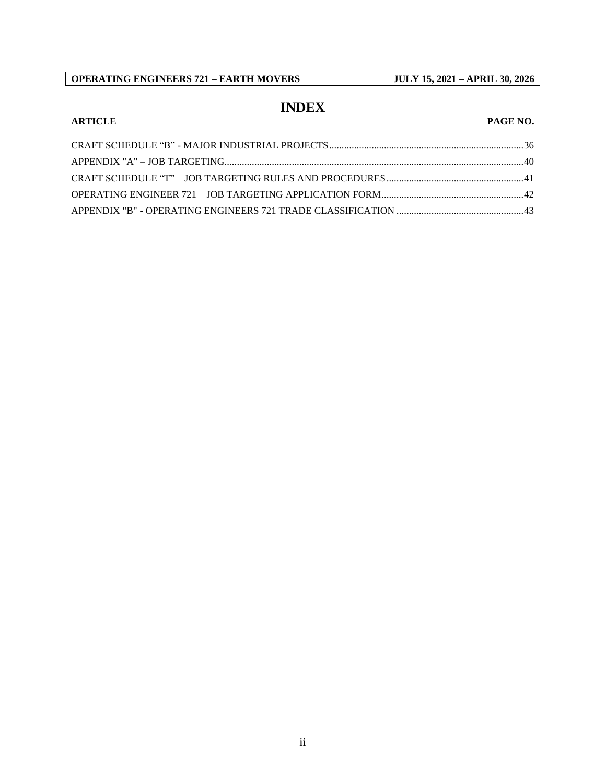## **INDEX**

## **ARTICLE PAGE NO.**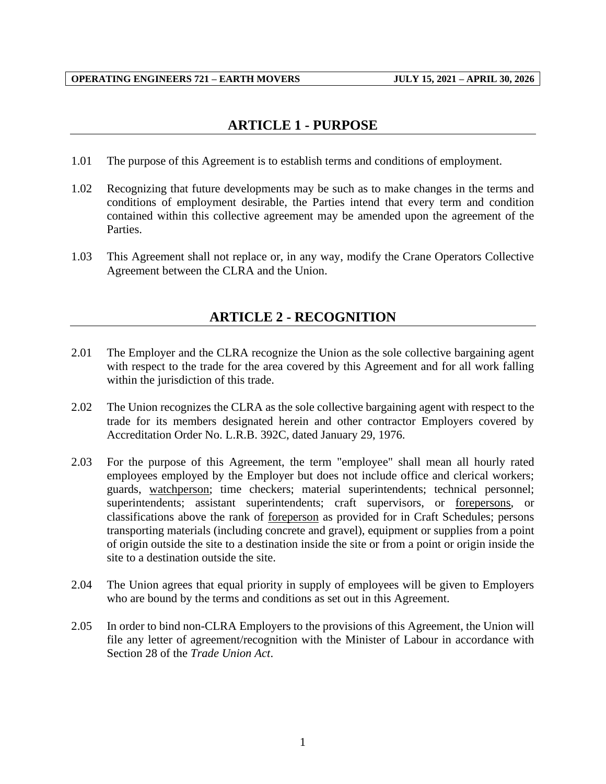## **ARTICLE 1 - PURPOSE**

- <span id="page-3-0"></span>1.01 The purpose of this Agreement is to establish terms and conditions of employment.
- 1.02 Recognizing that future developments may be such as to make changes in the terms and conditions of employment desirable, the Parties intend that every term and condition contained within this collective agreement may be amended upon the agreement of the Parties.
- <span id="page-3-1"></span>1.03 This Agreement shall not replace or, in any way, modify the Crane Operators Collective Agreement between the CLRA and the Union.

## **ARTICLE 2 - RECOGNITION**

- 2.01 The Employer and the CLRA recognize the Union as the sole collective bargaining agent with respect to the trade for the area covered by this Agreement and for all work falling within the jurisdiction of this trade.
- 2.02 The Union recognizes the CLRA as the sole collective bargaining agent with respect to the trade for its members designated herein and other contractor Employers covered by Accreditation Order No. L.R.B. 392C, dated January 29, 1976.
- 2.03 For the purpose of this Agreement, the term "employee" shall mean all hourly rated employees employed by the Employer but does not include office and clerical workers; guards, watchperson; time checkers; material superintendents; technical personnel; superintendents; assistant superintendents; craft supervisors, or forepersons, or classifications above the rank of foreperson as provided for in Craft Schedules; persons transporting materials (including concrete and gravel), equipment or supplies from a point of origin outside the site to a destination inside the site or from a point or origin inside the site to a destination outside the site.
- 2.04 The Union agrees that equal priority in supply of employees will be given to Employers who are bound by the terms and conditions as set out in this Agreement.
- 2.05 In order to bind non-CLRA Employers to the provisions of this Agreement, the Union will file any letter of agreement/recognition with the Minister of Labour in accordance with Section 28 of the *Trade Union Act*.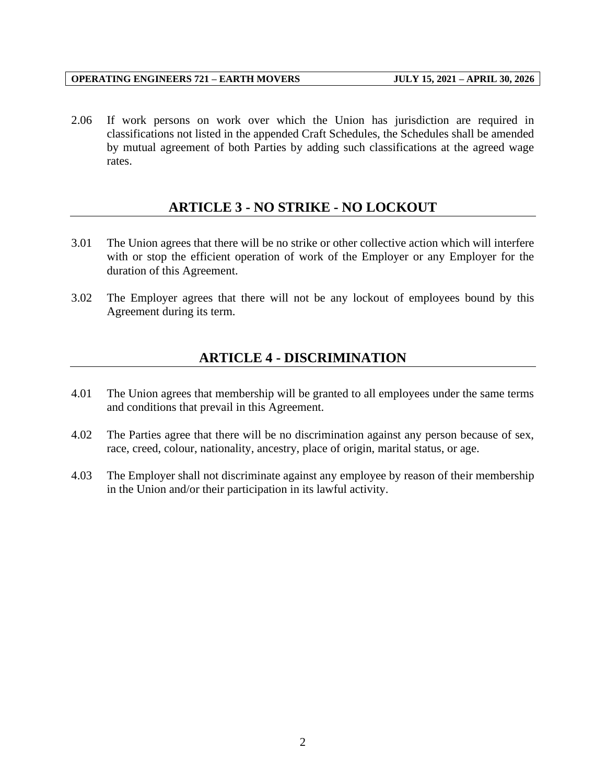2.06 If work persons on work over which the Union has jurisdiction are required in classifications not listed in the appended Craft Schedules, the Schedules shall be amended by mutual agreement of both Parties by adding such classifications at the agreed wage rates.

## **ARTICLE 3 - NO STRIKE - NO LOCKOUT**

- <span id="page-4-0"></span>3.01 The Union agrees that there will be no strike or other collective action which will interfere with or stop the efficient operation of work of the Employer or any Employer for the duration of this Agreement.
- <span id="page-4-1"></span>3.02 The Employer agrees that there will not be any lockout of employees bound by this Agreement during its term.

## **ARTICLE 4 - DISCRIMINATION**

- 4.01 The Union agrees that membership will be granted to all employees under the same terms and conditions that prevail in this Agreement.
- 4.02 The Parties agree that there will be no discrimination against any person because of sex, race, creed, colour, nationality, ancestry, place of origin, marital status, or age.
- 4.03 The Employer shall not discriminate against any employee by reason of their membership in the Union and/or their participation in its lawful activity.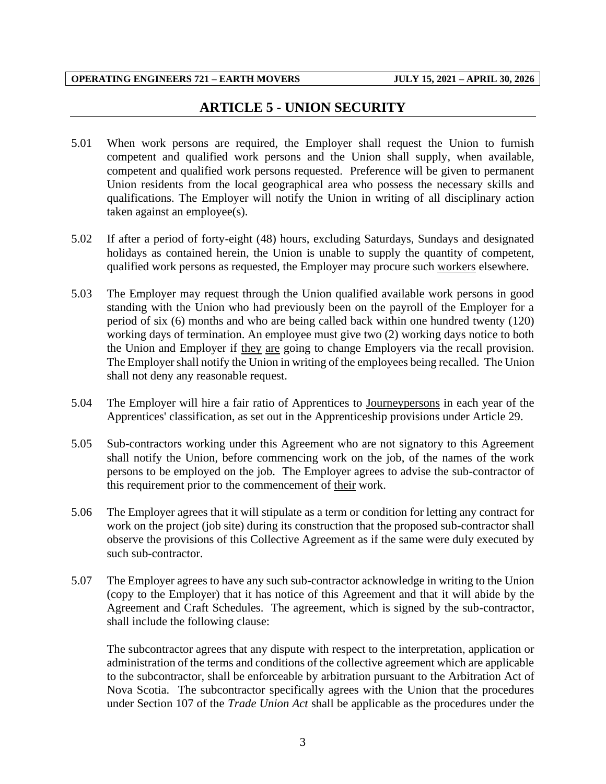## **ARTICLE 5 - UNION SECURITY**

- <span id="page-5-0"></span>5.01 When work persons are required, the Employer shall request the Union to furnish competent and qualified work persons and the Union shall supply, when available, competent and qualified work persons requested. Preference will be given to permanent Union residents from the local geographical area who possess the necessary skills and qualifications. The Employer will notify the Union in writing of all disciplinary action taken against an employee(s).
- 5.02 If after a period of forty-eight (48) hours, excluding Saturdays, Sundays and designated holidays as contained herein, the Union is unable to supply the quantity of competent, qualified work persons as requested, the Employer may procure such workers elsewhere.
- 5.03 The Employer may request through the Union qualified available work persons in good standing with the Union who had previously been on the payroll of the Employer for a period of six (6) months and who are being called back within one hundred twenty (120) working days of termination. An employee must give two (2) working days notice to both the Union and Employer if they are going to change Employers via the recall provision. The Employer shall notify the Union in writing of the employees being recalled. The Union shall not deny any reasonable request.
- 5.04 The Employer will hire a fair ratio of Apprentices to Journeypersons in each year of the Apprentices' classification, as set out in the Apprenticeship provisions under Article 29.
- 5.05 Sub-contractors working under this Agreement who are not signatory to this Agreement shall notify the Union, before commencing work on the job, of the names of the work persons to be employed on the job. The Employer agrees to advise the sub-contractor of this requirement prior to the commencement of their work.
- 5.06 The Employer agrees that it will stipulate as a term or condition for letting any contract for work on the project (job site) during its construction that the proposed sub-contractor shall observe the provisions of this Collective Agreement as if the same were duly executed by such sub-contractor.
- 5.07 The Employer agrees to have any such sub-contractor acknowledge in writing to the Union (copy to the Employer) that it has notice of this Agreement and that it will abide by the Agreement and Craft Schedules. The agreement, which is signed by the sub-contractor, shall include the following clause:

The subcontractor agrees that any dispute with respect to the interpretation, application or administration of the terms and conditions of the collective agreement which are applicable to the subcontractor, shall be enforceable by arbitration pursuant to the Arbitration Act of Nova Scotia. The subcontractor specifically agrees with the Union that the procedures under Section 107 of the *Trade Union Act* shall be applicable as the procedures under the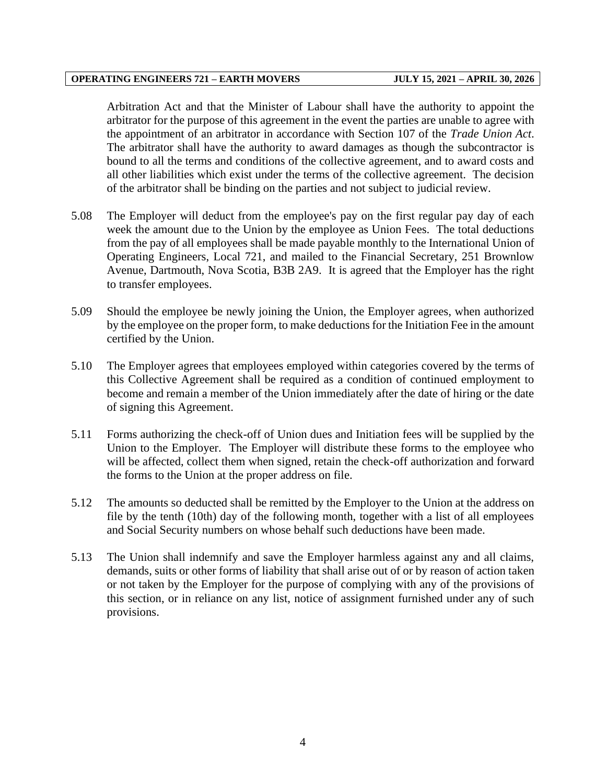Arbitration Act and that the Minister of Labour shall have the authority to appoint the arbitrator for the purpose of this agreement in the event the parties are unable to agree with the appointment of an arbitrator in accordance with Section 107 of the *Trade Union Act*. The arbitrator shall have the authority to award damages as though the subcontractor is bound to all the terms and conditions of the collective agreement, and to award costs and all other liabilities which exist under the terms of the collective agreement. The decision of the arbitrator shall be binding on the parties and not subject to judicial review.

- 5.08 The Employer will deduct from the employee's pay on the first regular pay day of each week the amount due to the Union by the employee as Union Fees. The total deductions from the pay of all employees shall be made payable monthly to the International Union of Operating Engineers, Local 721, and mailed to the Financial Secretary, 251 Brownlow Avenue, Dartmouth, Nova Scotia, B3B 2A9. It is agreed that the Employer has the right to transfer employees.
- 5.09 Should the employee be newly joining the Union, the Employer agrees, when authorized by the employee on the proper form, to make deductions for the Initiation Fee in the amount certified by the Union.
- 5.10 The Employer agrees that employees employed within categories covered by the terms of this Collective Agreement shall be required as a condition of continued employment to become and remain a member of the Union immediately after the date of hiring or the date of signing this Agreement.
- 5.11 Forms authorizing the check-off of Union dues and Initiation fees will be supplied by the Union to the Employer. The Employer will distribute these forms to the employee who will be affected, collect them when signed, retain the check-off authorization and forward the forms to the Union at the proper address on file.
- 5.12 The amounts so deducted shall be remitted by the Employer to the Union at the address on file by the tenth (10th) day of the following month, together with a list of all employees and Social Security numbers on whose behalf such deductions have been made.
- 5.13 The Union shall indemnify and save the Employer harmless against any and all claims, demands, suits or other forms of liability that shall arise out of or by reason of action taken or not taken by the Employer for the purpose of complying with any of the provisions of this section, or in reliance on any list, notice of assignment furnished under any of such provisions.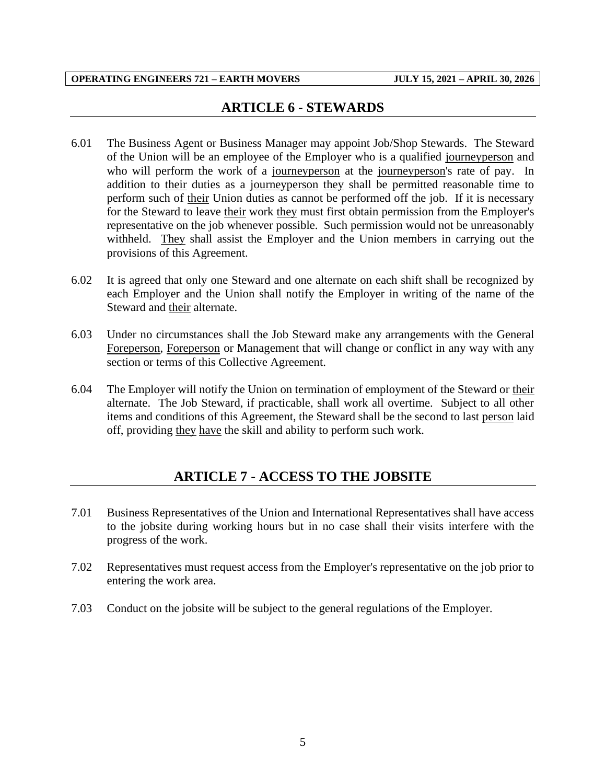## **ARTICLE 6 - STEWARDS**

- <span id="page-7-0"></span>6.01 The Business Agent or Business Manager may appoint Job/Shop Stewards. The Steward of the Union will be an employee of the Employer who is a qualified journeyperson and who will perform the work of a journeyperson at the journeyperson's rate of pay. In addition to their duties as a journeyperson they shall be permitted reasonable time to perform such of their Union duties as cannot be performed off the job. If it is necessary for the Steward to leave their work they must first obtain permission from the Employer's representative on the job whenever possible. Such permission would not be unreasonably withheld. They shall assist the Employer and the Union members in carrying out the provisions of this Agreement.
- 6.02 It is agreed that only one Steward and one alternate on each shift shall be recognized by each Employer and the Union shall notify the Employer in writing of the name of the Steward and their alternate.
- 6.03 Under no circumstances shall the Job Steward make any arrangements with the General Foreperson, Foreperson or Management that will change or conflict in any way with any section or terms of this Collective Agreement.
- 6.04 The Employer will notify the Union on termination of employment of the Steward or their alternate. The Job Steward, if practicable, shall work all overtime. Subject to all other items and conditions of this Agreement, the Steward shall be the second to last person laid off, providing they have the skill and ability to perform such work.

## **ARTICLE 7 - ACCESS TO THE JOBSITE**

- <span id="page-7-1"></span>7.01 Business Representatives of the Union and International Representatives shall have access to the jobsite during working hours but in no case shall their visits interfere with the progress of the work.
- 7.02 Representatives must request access from the Employer's representative on the job prior to entering the work area.
- 7.03 Conduct on the jobsite will be subject to the general regulations of the Employer.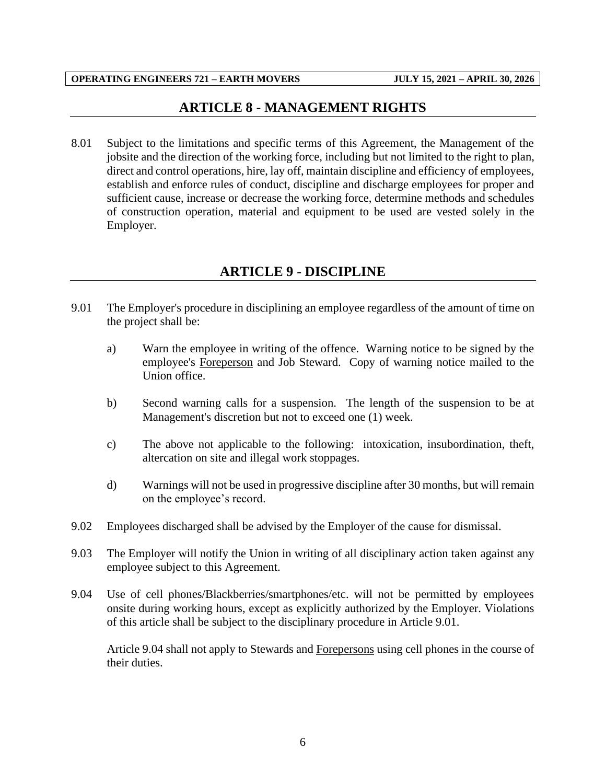## **ARTICLE 8 - MANAGEMENT RIGHTS**

<span id="page-8-0"></span>8.01 Subject to the limitations and specific terms of this Agreement, the Management of the jobsite and the direction of the working force, including but not limited to the right to plan, direct and control operations, hire, lay off, maintain discipline and efficiency of employees, establish and enforce rules of conduct, discipline and discharge employees for proper and sufficient cause, increase or decrease the working force, determine methods and schedules of construction operation, material and equipment to be used are vested solely in the Employer.

## **ARTICLE 9 - DISCIPLINE**

- <span id="page-8-1"></span>9.01 The Employer's procedure in disciplining an employee regardless of the amount of time on the project shall be:
	- a) Warn the employee in writing of the offence. Warning notice to be signed by the employee's Foreperson and Job Steward. Copy of warning notice mailed to the Union office.
	- b) Second warning calls for a suspension. The length of the suspension to be at Management's discretion but not to exceed one (1) week.
	- c) The above not applicable to the following: intoxication, insubordination, theft, altercation on site and illegal work stoppages.
	- d) Warnings will not be used in progressive discipline after 30 months, but will remain on the employee's record.
- 9.02 Employees discharged shall be advised by the Employer of the cause for dismissal.
- 9.03 The Employer will notify the Union in writing of all disciplinary action taken against any employee subject to this Agreement.
- 9.04 Use of cell phones/Blackberries/smartphones/etc. will not be permitted by employees onsite during working hours, except as explicitly authorized by the Employer. Violations of this article shall be subject to the disciplinary procedure in Article 9.01.

Article 9.04 shall not apply to Stewards and Forepersons using cell phones in the course of their duties.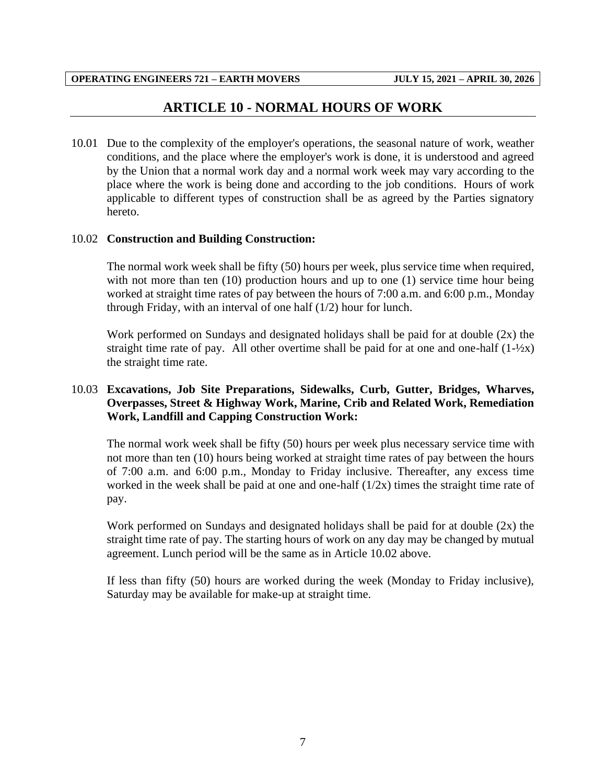## **ARTICLE 10 - NORMAL HOURS OF WORK**

<span id="page-9-0"></span>10.01 Due to the complexity of the employer's operations, the seasonal nature of work, weather conditions, and the place where the employer's work is done, it is understood and agreed by the Union that a normal work day and a normal work week may vary according to the place where the work is being done and according to the job conditions. Hours of work applicable to different types of construction shall be as agreed by the Parties signatory hereto.

#### 10.02 **Construction and Building Construction:**

The normal work week shall be fifty (50) hours per week, plus service time when required, with not more than ten (10) production hours and up to one (1) service time hour being worked at straight time rates of pay between the hours of 7:00 a.m. and 6:00 p.m., Monday through Friday, with an interval of one half (1/2) hour for lunch.

Work performed on Sundays and designated holidays shall be paid for at double (2x) the straight time rate of pay. All other overtime shall be paid for at one and one-half  $(1-\frac{1}{2}x)$ the straight time rate.

#### 10.03 **Excavations, Job Site Preparations, Sidewalks, Curb, Gutter, Bridges, Wharves, Overpasses, Street & Highway Work, Marine, Crib and Related Work, Remediation Work, Landfill and Capping Construction Work:**

The normal work week shall be fifty (50) hours per week plus necessary service time with not more than ten (10) hours being worked at straight time rates of pay between the hours of 7:00 a.m. and 6:00 p.m., Monday to Friday inclusive. Thereafter, any excess time worked in the week shall be paid at one and one-half  $(1/2x)$  times the straight time rate of pay.

Work performed on Sundays and designated holidays shall be paid for at double (2x) the straight time rate of pay. The starting hours of work on any day may be changed by mutual agreement. Lunch period will be the same as in Article 10.02 above.

If less than fifty (50) hours are worked during the week (Monday to Friday inclusive), Saturday may be available for make-up at straight time.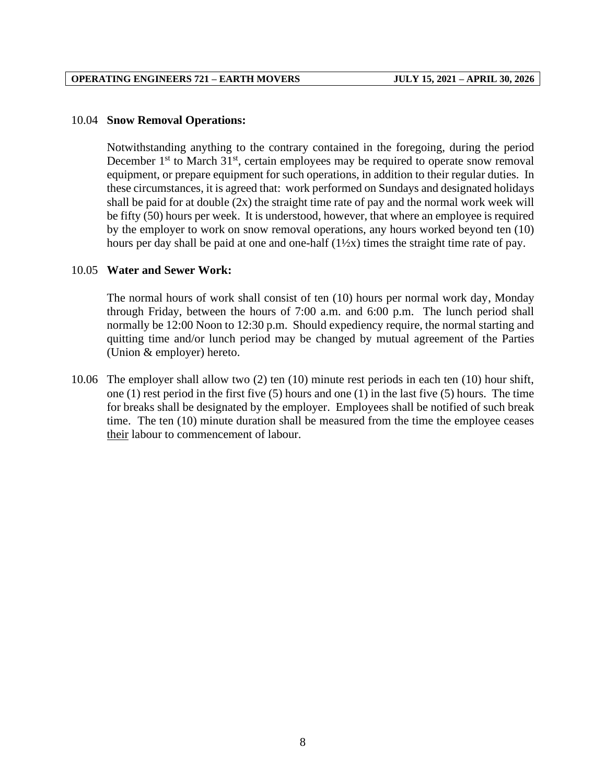#### 10.04 **Snow Removal Operations:**

Notwithstanding anything to the contrary contained in the foregoing, during the period December  $1<sup>st</sup>$  to March  $31<sup>st</sup>$ , certain employees may be required to operate snow removal equipment, or prepare equipment for such operations, in addition to their regular duties. In these circumstances, it is agreed that: work performed on Sundays and designated holidays shall be paid for at double  $(2x)$  the straight time rate of pay and the normal work week will be fifty (50) hours per week. It is understood, however, that where an employee is required by the employer to work on snow removal operations, any hours worked beyond ten (10) hours per day shall be paid at one and one-half  $(1\frac{1}{2}x)$  times the straight time rate of pay.

#### 10.05 **Water and Sewer Work:**

The normal hours of work shall consist of ten (10) hours per normal work day, Monday through Friday, between the hours of 7:00 a.m. and 6:00 p.m. The lunch period shall normally be 12:00 Noon to 12:30 p.m. Should expediency require, the normal starting and quitting time and/or lunch period may be changed by mutual agreement of the Parties (Union & employer) hereto.

10.06 The employer shall allow two (2) ten (10) minute rest periods in each ten (10) hour shift, one (1) rest period in the first five (5) hours and one (1) in the last five (5) hours. The time for breaks shall be designated by the employer. Employees shall be notified of such break time. The ten (10) minute duration shall be measured from the time the employee ceases their labour to commencement of labour.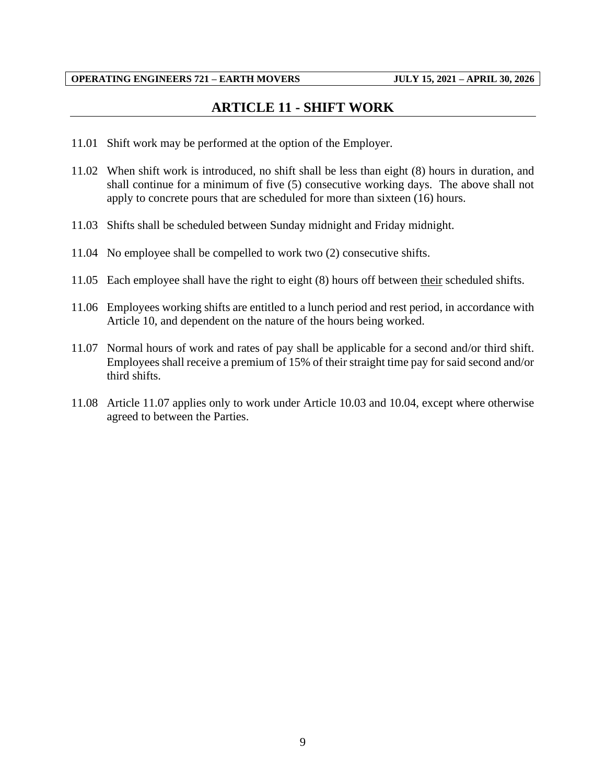## **ARTICLE 11 - SHIFT WORK**

- <span id="page-11-0"></span>11.01 Shift work may be performed at the option of the Employer.
- 11.02 When shift work is introduced, no shift shall be less than eight (8) hours in duration, and shall continue for a minimum of five (5) consecutive working days. The above shall not apply to concrete pours that are scheduled for more than sixteen (16) hours.
- 11.03 Shifts shall be scheduled between Sunday midnight and Friday midnight.
- 11.04 No employee shall be compelled to work two (2) consecutive shifts.
- 11.05 Each employee shall have the right to eight (8) hours off between their scheduled shifts.
- 11.06 Employees working shifts are entitled to a lunch period and rest period, in accordance with Article 10, and dependent on the nature of the hours being worked.
- 11.07 Normal hours of work and rates of pay shall be applicable for a second and/or third shift. Employees shall receive a premium of 15% of their straight time pay for said second and/or third shifts.
- 11.08 Article 11.07 applies only to work under Article 10.03 and 10.04, except where otherwise agreed to between the Parties.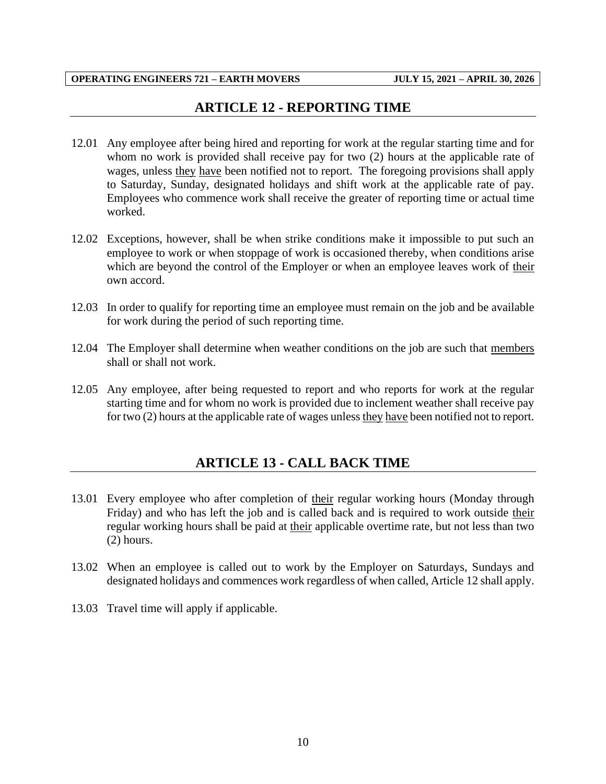## **ARTICLE 12 - REPORTING TIME**

- <span id="page-12-0"></span>12.01 Any employee after being hired and reporting for work at the regular starting time and for whom no work is provided shall receive pay for two (2) hours at the applicable rate of wages, unless they have been notified not to report. The foregoing provisions shall apply to Saturday, Sunday, designated holidays and shift work at the applicable rate of pay. Employees who commence work shall receive the greater of reporting time or actual time worked.
- 12.02 Exceptions, however, shall be when strike conditions make it impossible to put such an employee to work or when stoppage of work is occasioned thereby, when conditions arise which are beyond the control of the Employer or when an employee leaves work of their own accord.
- 12.03 In order to qualify for reporting time an employee must remain on the job and be available for work during the period of such reporting time.
- 12.04 The Employer shall determine when weather conditions on the job are such that members shall or shall not work.
- <span id="page-12-1"></span>12.05 Any employee, after being requested to report and who reports for work at the regular starting time and for whom no work is provided due to inclement weather shall receive pay for two (2) hours at the applicable rate of wages unless they have been notified not to report.

## **ARTICLE 13 - CALL BACK TIME**

- 13.01 Every employee who after completion of their regular working hours (Monday through Friday) and who has left the job and is called back and is required to work outside their regular working hours shall be paid at their applicable overtime rate, but not less than two (2) hours.
- 13.02 When an employee is called out to work by the Employer on Saturdays, Sundays and designated holidays and commences work regardless of when called, Article 12 shall apply.
- 13.03 Travel time will apply if applicable.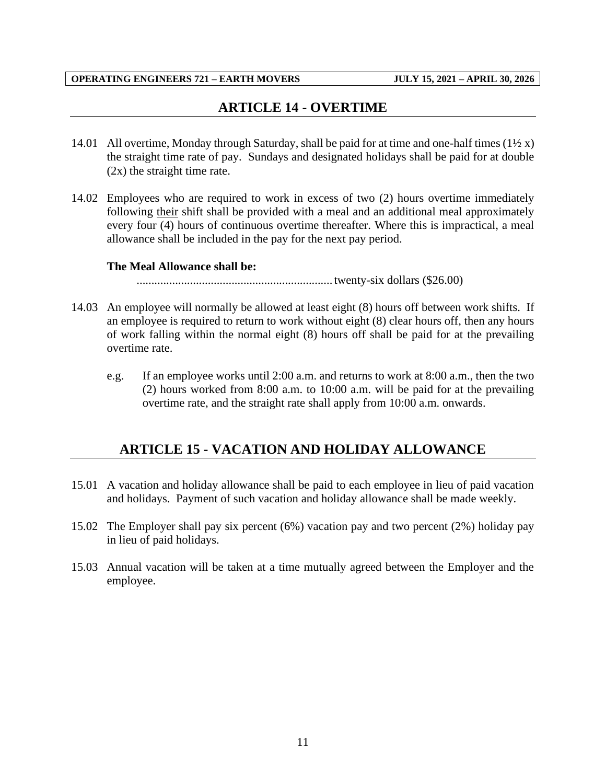## **ARTICLE 14 - OVERTIME**

- <span id="page-13-0"></span>14.01 All overtime, Monday through Saturday, shall be paid for at time and one-half times  $(1/2 x)$ the straight time rate of pay. Sundays and designated holidays shall be paid for at double (2x) the straight time rate.
- 14.02 Employees who are required to work in excess of two (2) hours overtime immediately following their shift shall be provided with a meal and an additional meal approximately every four (4) hours of continuous overtime thereafter. Where this is impractical, a meal allowance shall be included in the pay for the next pay period.

#### **The Meal Allowance shall be:**

.................................................................. twenty-six dollars (\$26.00)

- 14.03 An employee will normally be allowed at least eight (8) hours off between work shifts. If an employee is required to return to work without eight (8) clear hours off, then any hours of work falling within the normal eight (8) hours off shall be paid for at the prevailing overtime rate.
	- e.g. If an employee works until 2:00 a.m. and returns to work at 8:00 a.m., then the two (2) hours worked from 8:00 a.m. to 10:00 a.m. will be paid for at the prevailing overtime rate, and the straight rate shall apply from 10:00 a.m. onwards.

## <span id="page-13-1"></span>**ARTICLE 15 - VACATION AND HOLIDAY ALLOWANCE**

- 15.01 A vacation and holiday allowance shall be paid to each employee in lieu of paid vacation and holidays. Payment of such vacation and holiday allowance shall be made weekly.
- 15.02 The Employer shall pay six percent (6%) vacation pay and two percent (2%) holiday pay in lieu of paid holidays.
- 15.03 Annual vacation will be taken at a time mutually agreed between the Employer and the employee.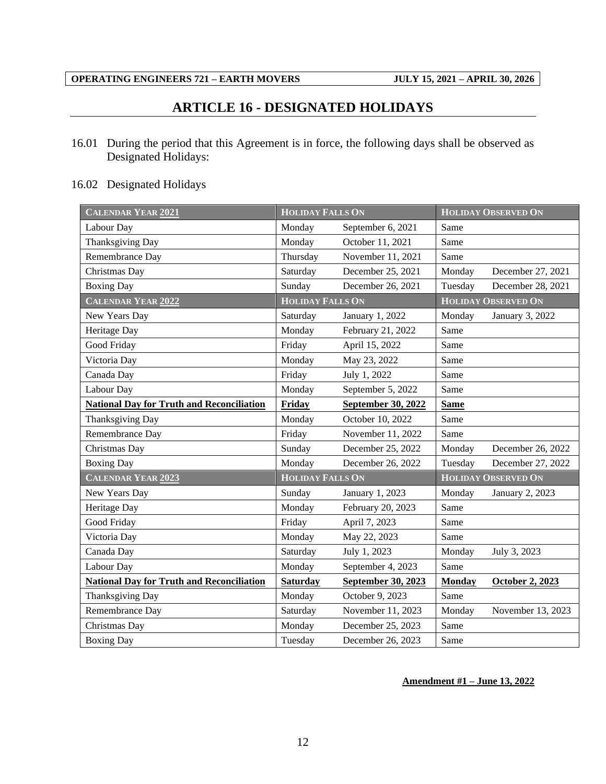## **ARTICLE 16 - DESIGNATED HOLIDAYS**

<span id="page-14-0"></span>16.01 During the period that this Agreement is in force, the following days shall be observed as Designated Holidays:

## 16.02 Designated Holidays

| CALENDAR YEAR 2021                               | <b>HOLIDAY FALLS ON</b>               |                    |               | <b>HOLIDAY OBSERVED ON</b> |  |
|--------------------------------------------------|---------------------------------------|--------------------|---------------|----------------------------|--|
| Labour Day                                       | Monday                                | September 6, 2021  | Same          |                            |  |
| <b>Thanksgiving Day</b>                          | Monday                                | October 11, 2021   | Same          |                            |  |
| Remembrance Day                                  | Thursday                              | November 11, 2021  | Same          |                            |  |
| Christmas Day                                    | Saturday                              | December 25, 2021  | Monday        | December 27, 2021          |  |
| <b>Boxing Day</b>                                | Sunday                                | December 26, 2021  | Tuesday       | December 28, 2021          |  |
| CALENDAR YEAR 2022                               | <b>HOLIDAY FALLS ON</b>               |                    |               | <b>HOLIDAY OBSERVED ON</b> |  |
| New Years Day                                    | Saturday                              | January 1, 2022    | Monday        | January 3, 2022            |  |
| Heritage Day                                     | Monday                                | February 21, 2022  | Same          |                            |  |
| Good Friday                                      | Friday                                | April 15, 2022     | Same          |                            |  |
| Victoria Day                                     | Monday                                | May 23, 2022       | Same          |                            |  |
| Canada Day                                       | Friday                                | July 1, 2022       | Same          |                            |  |
| Labour Day                                       | Monday                                | September 5, 2022  | Same          |                            |  |
| <b>National Day for Truth and Reconciliation</b> | Friday                                | September 30, 2022 | <b>Same</b>   |                            |  |
| Thanksgiving Day                                 | Monday                                | October 10, 2022   | Same          |                            |  |
| Remembrance Day                                  | Friday                                | November 11, 2022  | Same          |                            |  |
| Christmas Day                                    | Sunday                                | December 25, 2022  | Monday        | December 26, 2022          |  |
| <b>Boxing Day</b>                                | Monday                                | December 26, 2022  | Tuesday       | December 27, 2022          |  |
| <b>CALENDAR YEAR 2023</b>                        | <b>HOLIDAY FALLS ON</b>               |                    |               | <b>HOLIDAY OBSERVED ON</b> |  |
| New Years Day                                    | Sunday                                | January 1, 2023    | Monday        | January 2, 2023            |  |
| Heritage Day                                     | Monday                                | February 20, 2023  | Same          |                            |  |
| Good Friday                                      | Friday                                | April 7, 2023      | Same          |                            |  |
| Victoria Day                                     | Monday                                | May 22, 2023       | Same          |                            |  |
| Canada Day                                       | Saturday                              | July 1, 2023       | Monday        | July 3, 2023               |  |
| Labour Day                                       | Monday                                | September 4, 2023  | Same          |                            |  |
| <b>National Day for Truth and Reconciliation</b> | <b>Saturday</b><br>September 30, 2023 |                    | <b>Monday</b> | October 2, 2023            |  |
| Thanksgiving Day                                 | Monday                                | October 9, 2023    | Same          |                            |  |
| Remembrance Day                                  | Saturday                              | November 11, 2023  | Monday        | November 13, 2023          |  |
| Christmas Day                                    | Monday                                | December 25, 2023  | Same          |                            |  |
| <b>Boxing Day</b>                                | Tuesday                               | December 26, 2023  | Same          |                            |  |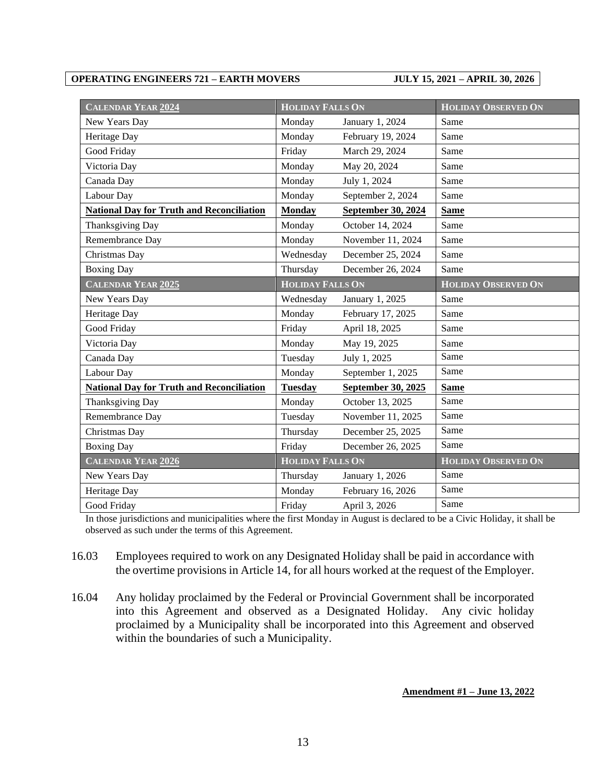| CALENDAR YEAR 2024                               | <b>HOLIDAY FALLS ON</b> |                    | <b>HOLIDAY OBSERVED ON</b> |
|--------------------------------------------------|-------------------------|--------------------|----------------------------|
| New Years Day                                    | Monday                  | January 1, 2024    | Same                       |
| Heritage Day                                     | Monday                  | February 19, 2024  | Same                       |
| Good Friday                                      | Friday                  | March 29, 2024     | Same                       |
| Victoria Day                                     | Monday                  | May 20, 2024       | Same                       |
| Canada Day                                       | Monday                  | July 1, 2024       | Same                       |
| Labour Day                                       | Monday                  | September 2, 2024  | Same                       |
| <b>National Day for Truth and Reconciliation</b> | <b>Monday</b>           | September 30, 2024 | <b>Same</b>                |
| Thanksgiving Day                                 | Monday                  | October 14, 2024   | Same                       |
| Remembrance Day                                  | Monday                  | November 11, 2024  | Same                       |
| Christmas Day                                    | Wednesday               | December 25, 2024  | Same                       |
| <b>Boxing Day</b>                                | Thursday                | December 26, 2024  | Same                       |
| <b>CALENDAR YEAR 2025</b>                        | <b>HOLIDAY FALLS ON</b> |                    | <b>HOLIDAY OBSERVED ON</b> |
| New Years Day                                    | Wednesday               | January 1, 2025    | Same                       |
| Heritage Day                                     | Monday                  | February 17, 2025  | Same                       |
| Good Friday                                      | Friday                  | April 18, 2025     | Same                       |
| Victoria Day                                     | Monday                  | May 19, 2025       | Same                       |
| Canada Day                                       | Tuesday                 | July 1, 2025       | Same                       |
| Labour Day                                       | Monday                  | September 1, 2025  | Same                       |
| <b>National Day for Truth and Reconciliation</b> | <b>Tuesday</b>          | September 30, 2025 | <b>Same</b>                |
| Thanksgiving Day                                 | Monday                  | October 13, 2025   | Same                       |
| Remembrance Day                                  | Tuesday                 | November 11, 2025  | Same                       |
| Christmas Day                                    | Thursday                | December 25, 2025  | Same                       |
| <b>Boxing Day</b>                                | Friday                  | December 26, 2025  | Same                       |
| <b>CALENDAR YEAR 2026</b>                        | <b>HOLIDAY FALLS ON</b> |                    | <b>HOLIDAY OBSERVED ON</b> |
| New Years Day                                    | Thursday                | January 1, 2026    | Same                       |
| Heritage Day                                     | Monday                  | February 16, 2026  | Same                       |
| Good Friday                                      | Friday                  | April 3, 2026      | Same                       |

In those jurisdictions and municipalities where the first Monday in August is declared to be a Civic Holiday, it shall be observed as such under the terms of this Agreement.

- 16.03 Employees required to work on any Designated Holiday shall be paid in accordance with the overtime provisions in Article 14, for all hours worked at the request of the Employer.
- 16.04 Any holiday proclaimed by the Federal or Provincial Government shall be incorporated into this Agreement and observed as a Designated Holiday. Any civic holiday proclaimed by a Municipality shall be incorporated into this Agreement and observed within the boundaries of such a Municipality.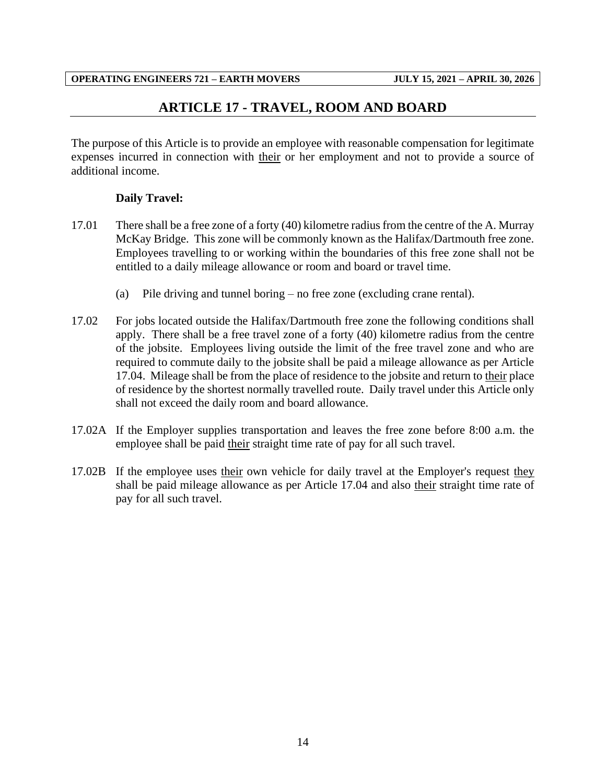## **ARTICLE 17 - TRAVEL, ROOM AND BOARD**

<span id="page-16-0"></span>The purpose of this Article is to provide an employee with reasonable compensation for legitimate expenses incurred in connection with their or her employment and not to provide a source of additional income.

## **Daily Travel:**

- 17.01 There shall be a free zone of a forty (40) kilometre radius from the centre of the A. Murray McKay Bridge. This zone will be commonly known as the Halifax/Dartmouth free zone. Employees travelling to or working within the boundaries of this free zone shall not be entitled to a daily mileage allowance or room and board or travel time.
	- (a) Pile driving and tunnel boring no free zone (excluding crane rental).
- 17.02 For jobs located outside the Halifax/Dartmouth free zone the following conditions shall apply. There shall be a free travel zone of a forty (40) kilometre radius from the centre of the jobsite. Employees living outside the limit of the free travel zone and who are required to commute daily to the jobsite shall be paid a mileage allowance as per Article 17.04. Mileage shall be from the place of residence to the jobsite and return to their place of residence by the shortest normally travelled route. Daily travel under this Article only shall not exceed the daily room and board allowance.
- 17.02A If the Employer supplies transportation and leaves the free zone before 8:00 a.m. the employee shall be paid their straight time rate of pay for all such travel.
- 17.02B If the employee uses their own vehicle for daily travel at the Employer's request they shall be paid mileage allowance as per Article 17.04 and also their straight time rate of pay for all such travel.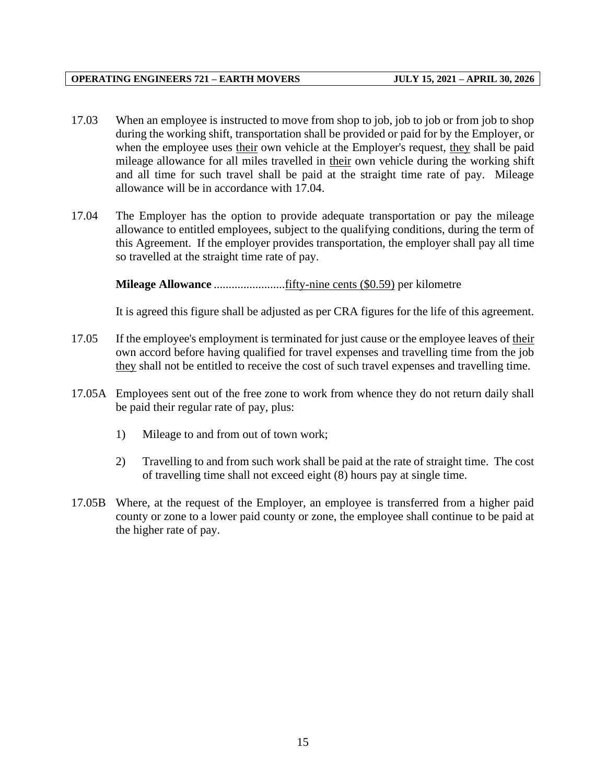- 17.03 When an employee is instructed to move from shop to job, job to job or from job to shop during the working shift, transportation shall be provided or paid for by the Employer, or when the employee uses their own vehicle at the Employer's request, they shall be paid mileage allowance for all miles travelled in their own vehicle during the working shift and all time for such travel shall be paid at the straight time rate of pay. Mileage allowance will be in accordance with 17.04.
- 17.04 The Employer has the option to provide adequate transportation or pay the mileage allowance to entitled employees, subject to the qualifying conditions, during the term of this Agreement. If the employer provides transportation, the employer shall pay all time so travelled at the straight time rate of pay.

**Mileage Allowance** ........................fifty-nine cents (\$0.59) per kilometre

It is agreed this figure shall be adjusted as per CRA figures for the life of this agreement.

- 17.05 If the employee's employment is terminated for just cause or the employee leaves of their own accord before having qualified for travel expenses and travelling time from the job they shall not be entitled to receive the cost of such travel expenses and travelling time.
- 17.05A Employees sent out of the free zone to work from whence they do not return daily shall be paid their regular rate of pay, plus:
	- 1) Mileage to and from out of town work;
	- 2) Travelling to and from such work shall be paid at the rate of straight time. The cost of travelling time shall not exceed eight (8) hours pay at single time.
- 17.05B Where, at the request of the Employer, an employee is transferred from a higher paid county or zone to a lower paid county or zone, the employee shall continue to be paid at the higher rate of pay.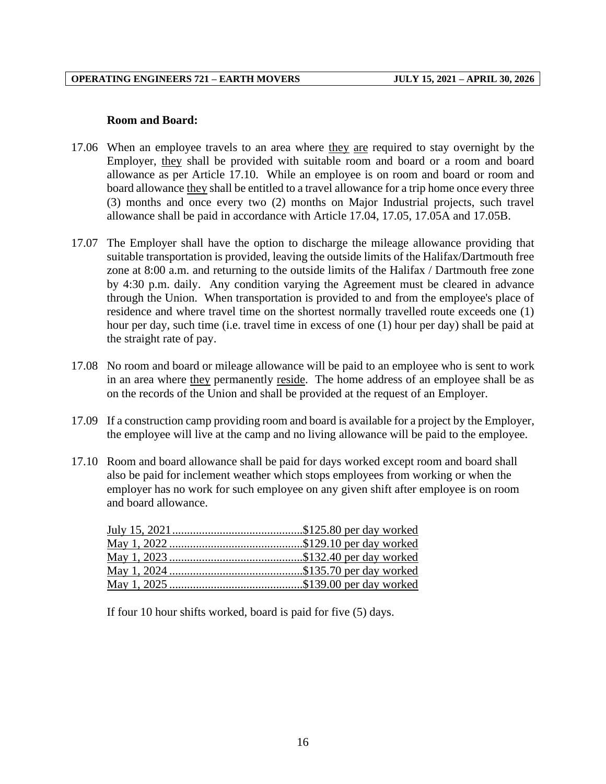#### **Room and Board:**

- 17.06 When an employee travels to an area where they are required to stay overnight by the Employer, they shall be provided with suitable room and board or a room and board allowance as per Article 17.10. While an employee is on room and board or room and board allowance they shall be entitled to a travel allowance for a trip home once every three (3) months and once every two (2) months on Major Industrial projects, such travel allowance shall be paid in accordance with Article 17.04, 17.05, 17.05A and 17.05B.
- 17.07 The Employer shall have the option to discharge the mileage allowance providing that suitable transportation is provided, leaving the outside limits of the Halifax/Dartmouth free zone at 8:00 a.m. and returning to the outside limits of the Halifax / Dartmouth free zone by 4:30 p.m. daily. Any condition varying the Agreement must be cleared in advance through the Union. When transportation is provided to and from the employee's place of residence and where travel time on the shortest normally travelled route exceeds one (1) hour per day, such time (i.e. travel time in excess of one (1) hour per day) shall be paid at the straight rate of pay.
- 17.08 No room and board or mileage allowance will be paid to an employee who is sent to work in an area where they permanently reside. The home address of an employee shall be as on the records of the Union and shall be provided at the request of an Employer.
- 17.09 If a construction camp providing room and board is available for a project by the Employer, the employee will live at the camp and no living allowance will be paid to the employee.
- 17.10 Room and board allowance shall be paid for days worked except room and board shall also be paid for inclement weather which stops employees from working or when the employer has no work for such employee on any given shift after employee is on room and board allowance.

If four 10 hour shifts worked, board is paid for five (5) days.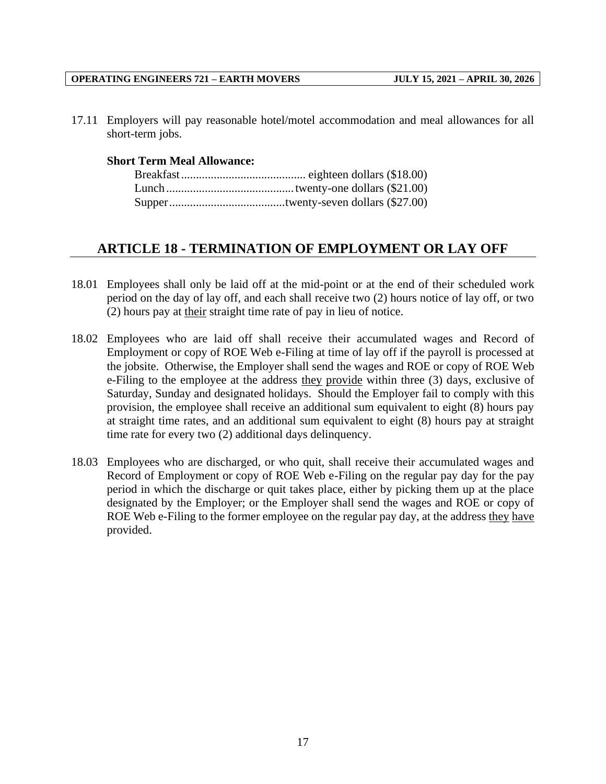17.11 Employers will pay reasonable hotel/motel accommodation and meal allowances for all short-term jobs.

#### **Short Term Meal Allowance:**

## <span id="page-19-0"></span>**ARTICLE 18 - TERMINATION OF EMPLOYMENT OR LAY OFF**

- 18.01 Employees shall only be laid off at the mid-point or at the end of their scheduled work period on the day of lay off, and each shall receive two (2) hours notice of lay off, or two (2) hours pay at their straight time rate of pay in lieu of notice.
- 18.02 Employees who are laid off shall receive their accumulated wages and Record of Employment or copy of ROE Web e-Filing at time of lay off if the payroll is processed at the jobsite. Otherwise, the Employer shall send the wages and ROE or copy of ROE Web e-Filing to the employee at the address they provide within three (3) days, exclusive of Saturday, Sunday and designated holidays. Should the Employer fail to comply with this provision, the employee shall receive an additional sum equivalent to eight (8) hours pay at straight time rates, and an additional sum equivalent to eight (8) hours pay at straight time rate for every two (2) additional days delinquency.
- 18.03 Employees who are discharged, or who quit, shall receive their accumulated wages and Record of Employment or copy of ROE Web e-Filing on the regular pay day for the pay period in which the discharge or quit takes place, either by picking them up at the place designated by the Employer; or the Employer shall send the wages and ROE or copy of ROE Web e-Filing to the former employee on the regular pay day, at the address they have provided.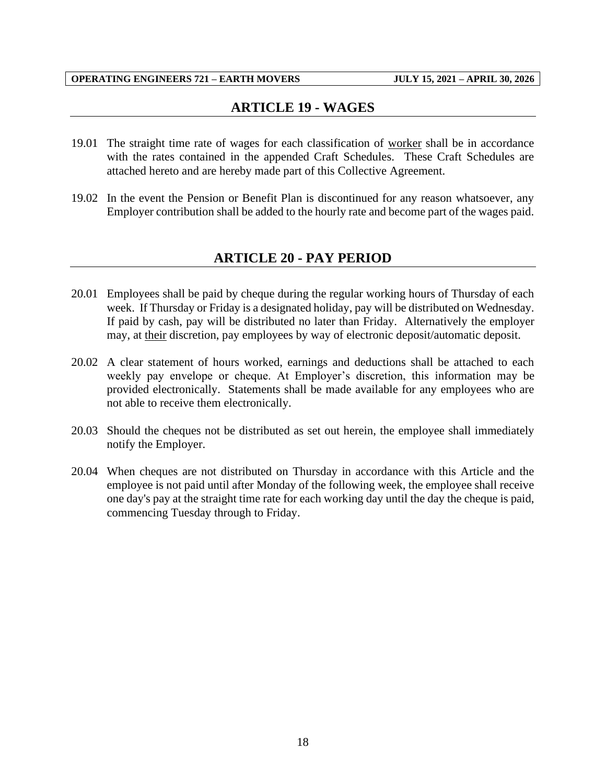## **ARTICLE 19 - WAGES**

- <span id="page-20-0"></span>19.01 The straight time rate of wages for each classification of worker shall be in accordance with the rates contained in the appended Craft Schedules. These Craft Schedules are attached hereto and are hereby made part of this Collective Agreement.
- <span id="page-20-1"></span>19.02 In the event the Pension or Benefit Plan is discontinued for any reason whatsoever, any Employer contribution shall be added to the hourly rate and become part of the wages paid.

## **ARTICLE 20 - PAY PERIOD**

- 20.01 Employees shall be paid by cheque during the regular working hours of Thursday of each week. If Thursday or Friday is a designated holiday, pay will be distributed on Wednesday. If paid by cash, pay will be distributed no later than Friday. Alternatively the employer may, at their discretion, pay employees by way of electronic deposit/automatic deposit.
- 20.02 A clear statement of hours worked, earnings and deductions shall be attached to each weekly pay envelope or cheque. At Employer's discretion, this information may be provided electronically. Statements shall be made available for any employees who are not able to receive them electronically.
- 20.03 Should the cheques not be distributed as set out herein, the employee shall immediately notify the Employer.
- 20.04 When cheques are not distributed on Thursday in accordance with this Article and the employee is not paid until after Monday of the following week, the employee shall receive one day's pay at the straight time rate for each working day until the day the cheque is paid, commencing Tuesday through to Friday.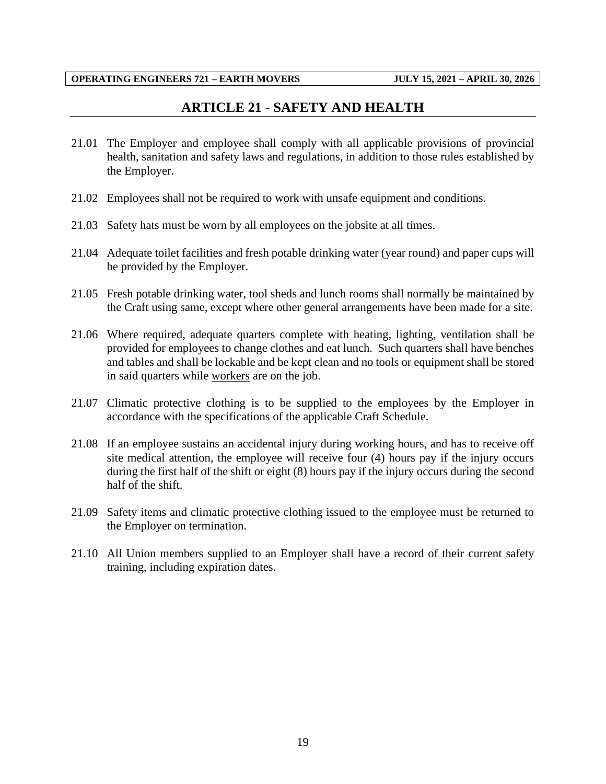## **ARTICLE 21 - SAFETY AND HEALTH**

- <span id="page-21-0"></span>21.01 The Employer and employee shall comply with all applicable provisions of provincial health, sanitation and safety laws and regulations, in addition to those rules established by the Employer.
- 21.02 Employees shall not be required to work with unsafe equipment and conditions.
- 21.03 Safety hats must be worn by all employees on the jobsite at all times.
- 21.04 Adequate toilet facilities and fresh potable drinking water (year round) and paper cups will be provided by the Employer.
- 21.05 Fresh potable drinking water, tool sheds and lunch rooms shall normally be maintained by the Craft using same, except where other general arrangements have been made for a site.
- 21.06 Where required, adequate quarters complete with heating, lighting, ventilation shall be provided for employees to change clothes and eat lunch. Such quarters shall have benches and tables and shall be lockable and be kept clean and no tools or equipment shall be stored in said quarters while workers are on the job.
- 21.07 Climatic protective clothing is to be supplied to the employees by the Employer in accordance with the specifications of the applicable Craft Schedule.
- 21.08 If an employee sustains an accidental injury during working hours, and has to receive off site medical attention, the employee will receive four (4) hours pay if the injury occurs during the first half of the shift or eight (8) hours pay if the injury occurs during the second half of the shift.
- 21.09 Safety items and climatic protective clothing issued to the employee must be returned to the Employer on termination.
- 21.10 All Union members supplied to an Employer shall have a record of their current safety training, including expiration dates.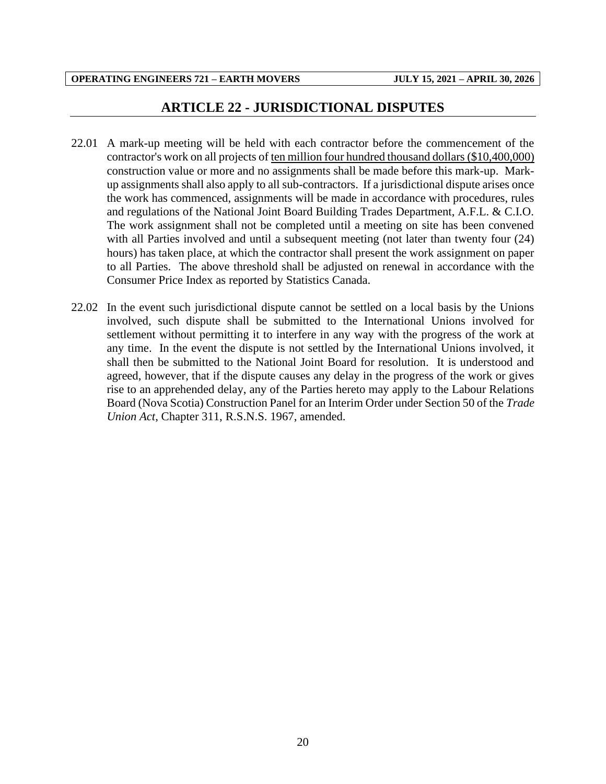## **ARTICLE 22 - JURISDICTIONAL DISPUTES**

- <span id="page-22-0"></span>22.01 A mark-up meeting will be held with each contractor before the commencement of the contractor's work on all projects of ten million four hundred thousand dollars (\$10,400,000) construction value or more and no assignments shall be made before this mark-up. Markup assignments shall also apply to all sub-contractors. If a jurisdictional dispute arises once the work has commenced, assignments will be made in accordance with procedures, rules and regulations of the National Joint Board Building Trades Department, A.F.L. & C.I.O. The work assignment shall not be completed until a meeting on site has been convened with all Parties involved and until a subsequent meeting (not later than twenty four (24) hours) has taken place, at which the contractor shall present the work assignment on paper to all Parties. The above threshold shall be adjusted on renewal in accordance with the Consumer Price Index as reported by Statistics Canada.
- 22.02 In the event such jurisdictional dispute cannot be settled on a local basis by the Unions involved, such dispute shall be submitted to the International Unions involved for settlement without permitting it to interfere in any way with the progress of the work at any time. In the event the dispute is not settled by the International Unions involved, it shall then be submitted to the National Joint Board for resolution. It is understood and agreed, however, that if the dispute causes any delay in the progress of the work or gives rise to an apprehended delay, any of the Parties hereto may apply to the Labour Relations Board (Nova Scotia) Construction Panel for an Interim Order under Section 50 of the *Trade Union Act*, Chapter 311, R.S.N.S. 1967, amended.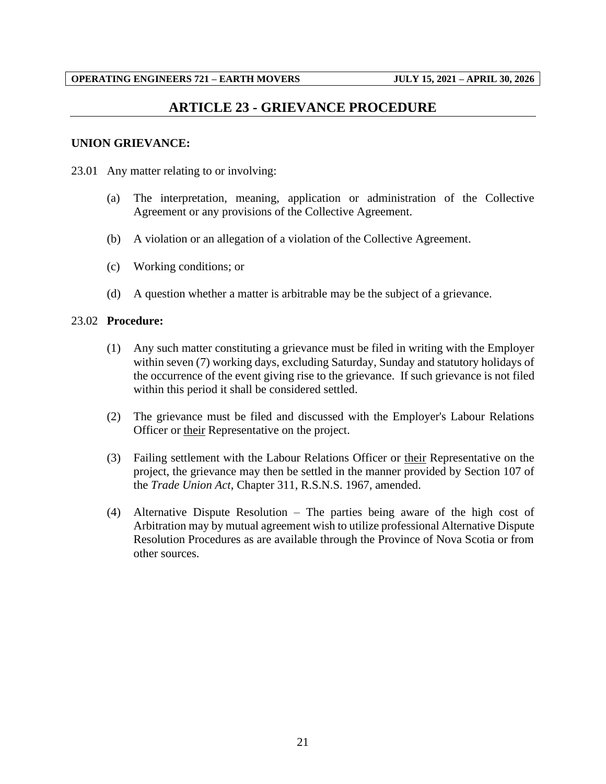## **ARTICLE 23 - GRIEVANCE PROCEDURE**

#### <span id="page-23-0"></span>**UNION GRIEVANCE:**

- 23.01 Any matter relating to or involving:
	- (a) The interpretation, meaning, application or administration of the Collective Agreement or any provisions of the Collective Agreement.
	- (b) A violation or an allegation of a violation of the Collective Agreement.
	- (c) Working conditions; or
	- (d) A question whether a matter is arbitrable may be the subject of a grievance.

#### 23.02 **Procedure:**

- (1) Any such matter constituting a grievance must be filed in writing with the Employer within seven (7) working days, excluding Saturday, Sunday and statutory holidays of the occurrence of the event giving rise to the grievance. If such grievance is not filed within this period it shall be considered settled.
- (2) The grievance must be filed and discussed with the Employer's Labour Relations Officer or their Representative on the project.
- (3) Failing settlement with the Labour Relations Officer or their Representative on the project, the grievance may then be settled in the manner provided by Section 107 of the *Trade Union Act*, Chapter 311, R.S.N.S. 1967, amended.
- (4) Alternative Dispute Resolution The parties being aware of the high cost of Arbitration may by mutual agreement wish to utilize professional Alternative Dispute Resolution Procedures as are available through the Province of Nova Scotia or from other sources.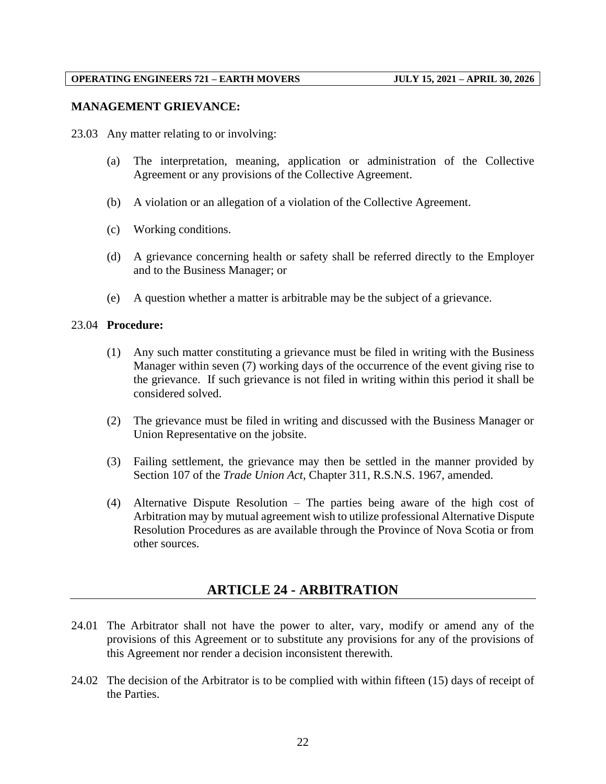#### **MANAGEMENT GRIEVANCE:**

23.03 Any matter relating to or involving:

- (a) The interpretation, meaning, application or administration of the Collective Agreement or any provisions of the Collective Agreement.
- (b) A violation or an allegation of a violation of the Collective Agreement.
- (c) Working conditions.
- (d) A grievance concerning health or safety shall be referred directly to the Employer and to the Business Manager; or
- (e) A question whether a matter is arbitrable may be the subject of a grievance.

#### 23.04 **Procedure:**

- (1) Any such matter constituting a grievance must be filed in writing with the Business Manager within seven (7) working days of the occurrence of the event giving rise to the grievance. If such grievance is not filed in writing within this period it shall be considered solved.
- (2) The grievance must be filed in writing and discussed with the Business Manager or Union Representative on the jobsite.
- (3) Failing settlement, the grievance may then be settled in the manner provided by Section 107 of the *Trade Union Act*, Chapter 311, R.S.N.S. 1967, amended.
- (4) Alternative Dispute Resolution The parties being aware of the high cost of Arbitration may by mutual agreement wish to utilize professional Alternative Dispute Resolution Procedures as are available through the Province of Nova Scotia or from other sources.

## **ARTICLE 24 - ARBITRATION**

- <span id="page-24-0"></span>24.01 The Arbitrator shall not have the power to alter, vary, modify or amend any of the provisions of this Agreement or to substitute any provisions for any of the provisions of this Agreement nor render a decision inconsistent therewith.
- 24.02 The decision of the Arbitrator is to be complied with within fifteen (15) days of receipt of the Parties.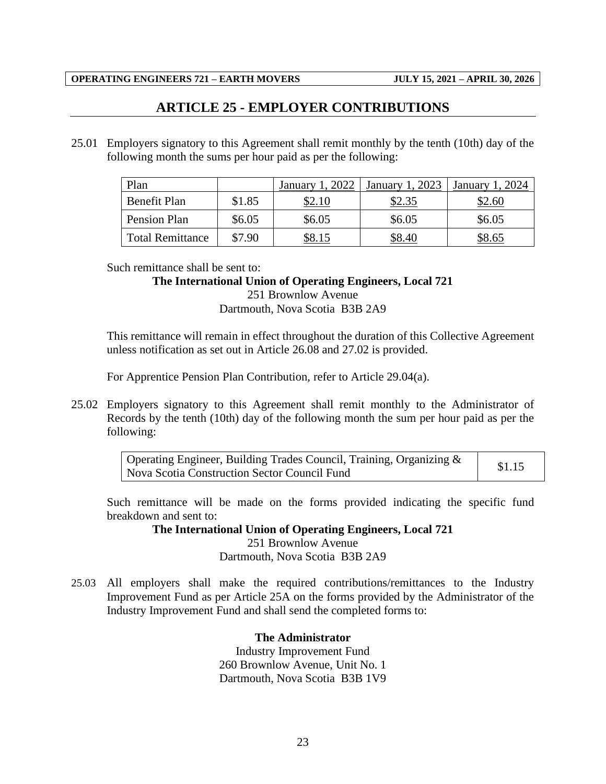## **ARTICLE 25 - EMPLOYER CONTRIBUTIONS**

<span id="page-25-0"></span>25.01 Employers signatory to this Agreement shall remit monthly by the tenth (10th) day of the following month the sums per hour paid as per the following:

| Plan                    |        | 2022<br>January | 2023<br>January | January |
|-------------------------|--------|-----------------|-----------------|---------|
| Benefit Plan            | \$1.85 |                 | \$2.35          | \$2.60  |
| Pension Plan            | \$6.05 | \$6.05          | \$6.05          | \$6.05  |
| <b>Total Remittance</b> | \$7.90 |                 | SS 40           | \$8.65  |

Such remittance shall be sent to:

#### **The International Union of Operating Engineers, Local 721**

251 Brownlow Avenue Dartmouth, Nova Scotia B3B 2A9

This remittance will remain in effect throughout the duration of this Collective Agreement unless notification as set out in Article 26.08 and 27.02 is provided.

For Apprentice Pension Plan Contribution, refer to Article 29.04(a).

25.02 Employers signatory to this Agreement shall remit monthly to the Administrator of Records by the tenth (10th) day of the following month the sum per hour paid as per the following:

| Operating Engineer, Building Trades Council, Training, Organizing $\&$<br>  Nova Scotia Construction Sector Council Fund | \$1.15 |
|--------------------------------------------------------------------------------------------------------------------------|--------|
|                                                                                                                          |        |

Such remittance will be made on the forms provided indicating the specific fund breakdown and sent to:

> **The International Union of Operating Engineers, Local 721** 251 Brownlow Avenue Dartmouth, Nova Scotia B3B 2A9

25.03 All employers shall make the required contributions/remittances to the Industry Improvement Fund as per Article 25A on the forms provided by the Administrator of the Industry Improvement Fund and shall send the completed forms to:

**The Administrator**

Industry Improvement Fund 260 Brownlow Avenue, Unit No. 1 Dartmouth, Nova Scotia B3B 1V9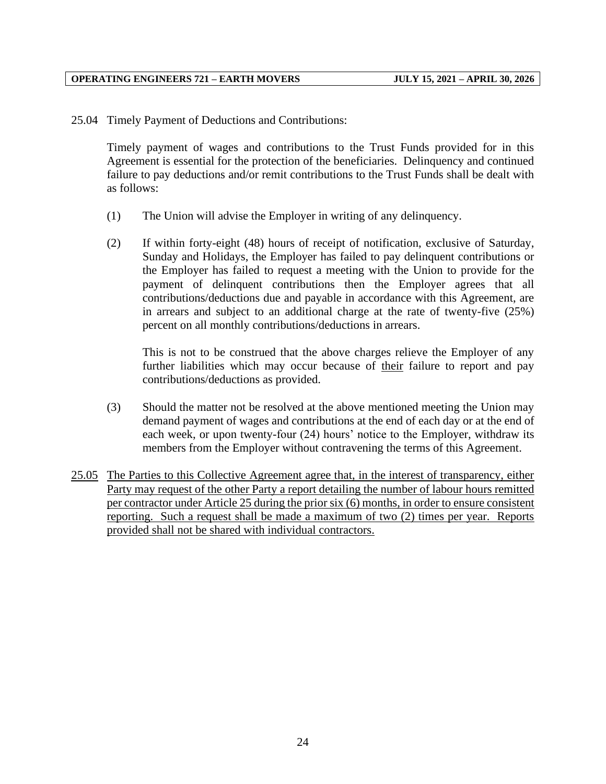25.04 Timely Payment of Deductions and Contributions:

Timely payment of wages and contributions to the Trust Funds provided for in this Agreement is essential for the protection of the beneficiaries. Delinquency and continued failure to pay deductions and/or remit contributions to the Trust Funds shall be dealt with as follows:

- (1) The Union will advise the Employer in writing of any delinquency.
- (2) If within forty-eight (48) hours of receipt of notification, exclusive of Saturday, Sunday and Holidays, the Employer has failed to pay delinquent contributions or the Employer has failed to request a meeting with the Union to provide for the payment of delinquent contributions then the Employer agrees that all contributions/deductions due and payable in accordance with this Agreement, are in arrears and subject to an additional charge at the rate of twenty-five (25%) percent on all monthly contributions/deductions in arrears.

This is not to be construed that the above charges relieve the Employer of any further liabilities which may occur because of their failure to report and pay contributions/deductions as provided.

- (3) Should the matter not be resolved at the above mentioned meeting the Union may demand payment of wages and contributions at the end of each day or at the end of each week, or upon twenty-four (24) hours' notice to the Employer, withdraw its members from the Employer without contravening the terms of this Agreement.
- 25.05 The Parties to this Collective Agreement agree that, in the interest of transparency, either Party may request of the other Party a report detailing the number of labour hours remitted per contractor under Article 25 during the prior six (6) months, in order to ensure consistent reporting. Such a request shall be made a maximum of two (2) times per year. Reports provided shall not be shared with individual contractors.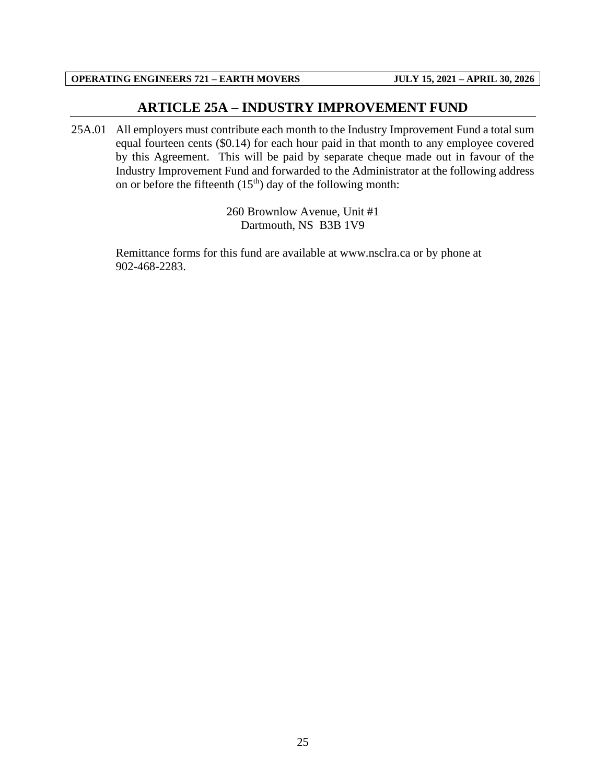## **ARTICLE 25A – INDUSTRY IMPROVEMENT FUND**

<span id="page-27-0"></span>25A.01 All employers must contribute each month to the Industry Improvement Fund a total sum equal fourteen cents (\$0.14) for each hour paid in that month to any employee covered by this Agreement. This will be paid by separate cheque made out in favour of the Industry Improvement Fund and forwarded to the Administrator at the following address on or before the fifteenth  $(15<sup>th</sup>)$  day of the following month:

> 260 Brownlow Avenue, Unit #1 Dartmouth, NS B3B 1V9

Remittance forms for this fund are available at www.nsclra.ca or by phone at 902-468-2283.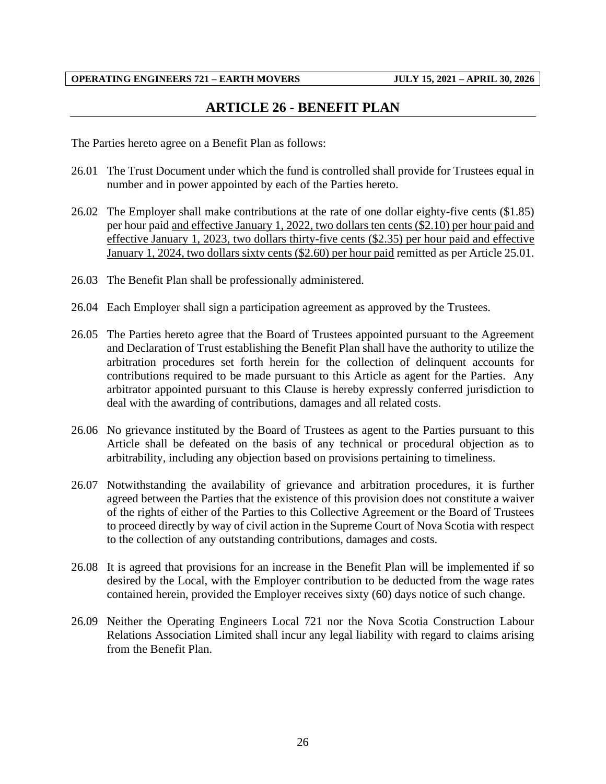## **ARTICLE 26 - BENEFIT PLAN**

<span id="page-28-0"></span>The Parties hereto agree on a Benefit Plan as follows:

- 26.01 The Trust Document under which the fund is controlled shall provide for Trustees equal in number and in power appointed by each of the Parties hereto.
- 26.02 The Employer shall make contributions at the rate of one dollar eighty-five cents (\$1.85) per hour paid and effective January 1, 2022, two dollars ten cents (\$2.10) per hour paid and effective January 1, 2023, two dollars thirty-five cents (\$2.35) per hour paid and effective January 1, 2024, two dollars sixty cents (\$2.60) per hour paid remitted as per Article 25.01.
- 26.03 The Benefit Plan shall be professionally administered.
- 26.04 Each Employer shall sign a participation agreement as approved by the Trustees.
- 26.05 The Parties hereto agree that the Board of Trustees appointed pursuant to the Agreement and Declaration of Trust establishing the Benefit Plan shall have the authority to utilize the arbitration procedures set forth herein for the collection of delinquent accounts for contributions required to be made pursuant to this Article as agent for the Parties. Any arbitrator appointed pursuant to this Clause is hereby expressly conferred jurisdiction to deal with the awarding of contributions, damages and all related costs.
- 26.06 No grievance instituted by the Board of Trustees as agent to the Parties pursuant to this Article shall be defeated on the basis of any technical or procedural objection as to arbitrability, including any objection based on provisions pertaining to timeliness.
- 26.07 Notwithstanding the availability of grievance and arbitration procedures, it is further agreed between the Parties that the existence of this provision does not constitute a waiver of the rights of either of the Parties to this Collective Agreement or the Board of Trustees to proceed directly by way of civil action in the Supreme Court of Nova Scotia with respect to the collection of any outstanding contributions, damages and costs.
- 26.08 It is agreed that provisions for an increase in the Benefit Plan will be implemented if so desired by the Local, with the Employer contribution to be deducted from the wage rates contained herein, provided the Employer receives sixty (60) days notice of such change.
- 26.09 Neither the Operating Engineers Local 721 nor the Nova Scotia Construction Labour Relations Association Limited shall incur any legal liability with regard to claims arising from the Benefit Plan.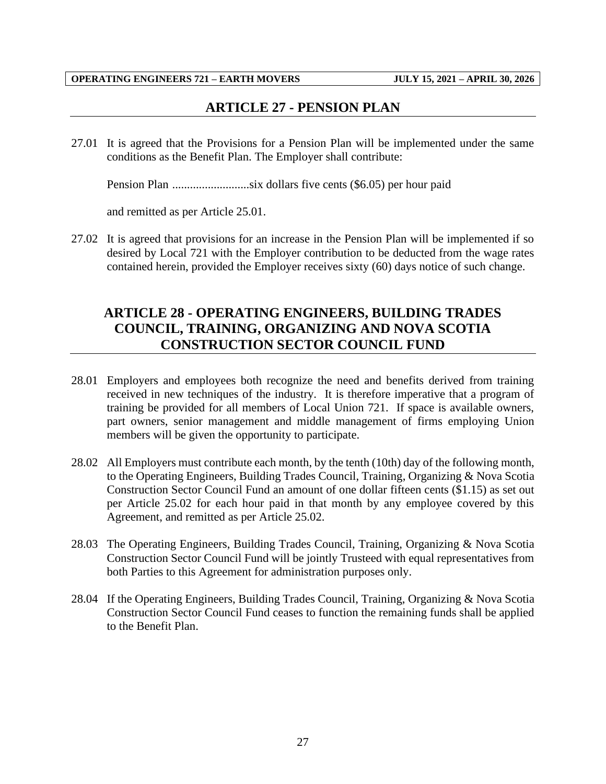## **ARTICLE 27 - PENSION PLAN**

<span id="page-29-0"></span>27.01 It is agreed that the Provisions for a Pension Plan will be implemented under the same conditions as the Benefit Plan. The Employer shall contribute:

Pension Plan ..........................six dollars five cents (\$6.05) per hour paid

and remitted as per Article 25.01.

27.02 It is agreed that provisions for an increase in the Pension Plan will be implemented if so desired by Local 721 with the Employer contribution to be deducted from the wage rates contained herein, provided the Employer receives sixty (60) days notice of such change.

## <span id="page-29-1"></span>**ARTICLE 28 - OPERATING ENGINEERS, BUILDING TRADES COUNCIL, TRAINING, ORGANIZING AND NOVA SCOTIA CONSTRUCTION SECTOR COUNCIL FUND**

- 28.01 Employers and employees both recognize the need and benefits derived from training received in new techniques of the industry. It is therefore imperative that a program of training be provided for all members of Local Union 721. If space is available owners, part owners, senior management and middle management of firms employing Union members will be given the opportunity to participate.
- 28.02 All Employers must contribute each month, by the tenth (10th) day of the following month, to the Operating Engineers, Building Trades Council, Training, Organizing & Nova Scotia Construction Sector Council Fund an amount of one dollar fifteen cents (\$1.15) as set out per Article 25.02 for each hour paid in that month by any employee covered by this Agreement, and remitted as per Article 25.02.
- 28.03 The Operating Engineers, Building Trades Council, Training, Organizing & Nova Scotia Construction Sector Council Fund will be jointly Trusteed with equal representatives from both Parties to this Agreement for administration purposes only.
- 28.04 If the Operating Engineers, Building Trades Council, Training, Organizing & Nova Scotia Construction Sector Council Fund ceases to function the remaining funds shall be applied to the Benefit Plan.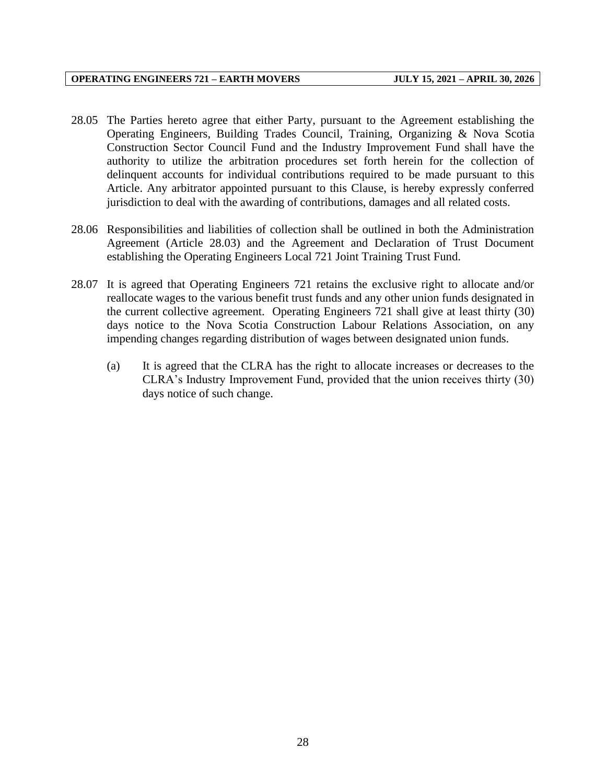- 28.05 The Parties hereto agree that either Party, pursuant to the Agreement establishing the Operating Engineers, Building Trades Council, Training, Organizing & Nova Scotia Construction Sector Council Fund and the Industry Improvement Fund shall have the authority to utilize the arbitration procedures set forth herein for the collection of delinquent accounts for individual contributions required to be made pursuant to this Article. Any arbitrator appointed pursuant to this Clause, is hereby expressly conferred jurisdiction to deal with the awarding of contributions, damages and all related costs.
- 28.06 Responsibilities and liabilities of collection shall be outlined in both the Administration Agreement (Article 28.03) and the Agreement and Declaration of Trust Document establishing the Operating Engineers Local 721 Joint Training Trust Fund.
- 28.07 It is agreed that Operating Engineers 721 retains the exclusive right to allocate and/or reallocate wages to the various benefit trust funds and any other union funds designated in the current collective agreement. Operating Engineers 721 shall give at least thirty (30) days notice to the Nova Scotia Construction Labour Relations Association, on any impending changes regarding distribution of wages between designated union funds.
	- (a) It is agreed that the CLRA has the right to allocate increases or decreases to the CLRA's Industry Improvement Fund, provided that the union receives thirty (30) days notice of such change.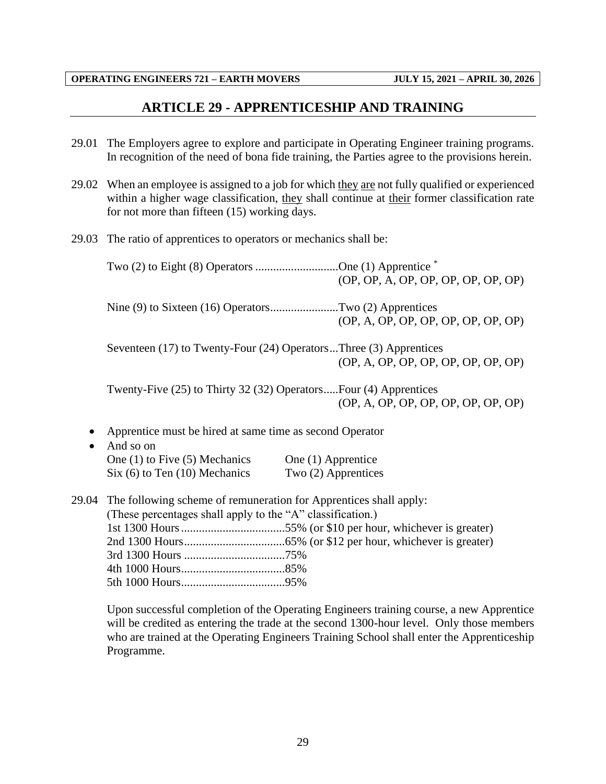## **ARTICLE 29 - APPRENTICESHIP AND TRAINING**

- <span id="page-31-0"></span>29.01 The Employers agree to explore and participate in Operating Engineer training programs. In recognition of the need of bona fide training, the Parties agree to the provisions herein.
- 29.02 When an employee is assigned to a job for which they are not fully qualified or experienced within a higher wage classification, they shall continue at their former classification rate for not more than fifteen (15) working days.
- 29.03 The ratio of apprentices to operators or mechanics shall be:

|           | Two (2) to Eight (8) Operators One (1) Apprentice *                                                                             | (OP, OP, A, OP, OP, OP, OP, OP, OP) |
|-----------|---------------------------------------------------------------------------------------------------------------------------------|-------------------------------------|
|           | Nine (9) to Sixteen (16) OperatorsTwo (2) Apprentices                                                                           | (OP, A, OP, OP, OP, OP, OP, OP, OP) |
|           | Seventeen (17) to Twenty-Four (24) OperatorsThree (3) Apprentices                                                               | (OP, A, OP, OP, OP, OP, OP, OP, OP) |
|           | Twenty-Five (25) to Thirty 32 (32) OperatorsFour (4) Apprentices                                                                | (OP, A, OP, OP, OP, OP, OP, OP, OP) |
| $\bullet$ | Apprentice must be hired at same time as second Operator<br>And so on                                                           |                                     |
|           | One $(1)$ to Five $(5)$ Mechanics                                                                                               | One (1) Apprentice                  |
|           | Six (6) to Ten (10) Mechanics                                                                                                   | Two (2) Apprentices                 |
| 29.04     | The following scheme of remuneration for Apprentices shall apply:<br>(These percentages shall apply to the "A" classification.) |                                     |
|           |                                                                                                                                 |                                     |
|           |                                                                                                                                 |                                     |
|           |                                                                                                                                 |                                     |
|           |                                                                                                                                 |                                     |

Upon successful completion of the Operating Engineers training course, a new Apprentice will be credited as entering the trade at the second 1300-hour level. Only those members who are trained at the Operating Engineers Training School shall enter the Apprenticeship Programme.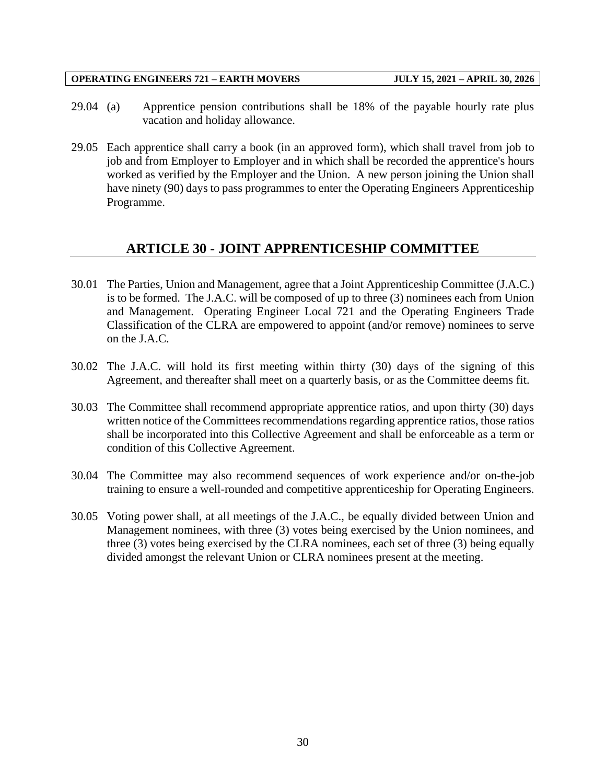- 29.04 (a) Apprentice pension contributions shall be 18% of the payable hourly rate plus vacation and holiday allowance.
- 29.05 Each apprentice shall carry a book (in an approved form), which shall travel from job to job and from Employer to Employer and in which shall be recorded the apprentice's hours worked as verified by the Employer and the Union. A new person joining the Union shall have ninety (90) days to pass programmes to enter the Operating Engineers Apprenticeship Programme.

## **ARTICLE 30 - JOINT APPRENTICESHIP COMMITTEE**

- <span id="page-32-0"></span>30.01 The Parties, Union and Management, agree that a Joint Apprenticeship Committee (J.A.C.) is to be formed. The J.A.C. will be composed of up to three (3) nominees each from Union and Management. Operating Engineer Local 721 and the Operating Engineers Trade Classification of the CLRA are empowered to appoint (and/or remove) nominees to serve on the J.A.C.
- 30.02 The J.A.C. will hold its first meeting within thirty (30) days of the signing of this Agreement, and thereafter shall meet on a quarterly basis, or as the Committee deems fit.
- 30.03 The Committee shall recommend appropriate apprentice ratios, and upon thirty (30) days written notice of the Committees recommendations regarding apprentice ratios, those ratios shall be incorporated into this Collective Agreement and shall be enforceable as a term or condition of this Collective Agreement.
- 30.04 The Committee may also recommend sequences of work experience and/or on-the-job training to ensure a well-rounded and competitive apprenticeship for Operating Engineers.
- 30.05 Voting power shall, at all meetings of the J.A.C., be equally divided between Union and Management nominees, with three (3) votes being exercised by the Union nominees, and three (3) votes being exercised by the CLRA nominees, each set of three (3) being equally divided amongst the relevant Union or CLRA nominees present at the meeting.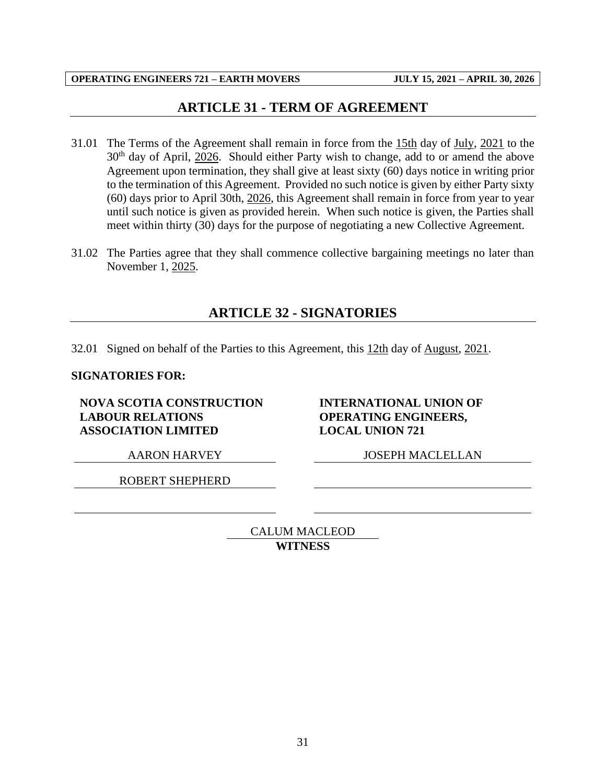## **ARTICLE 31 - TERM OF AGREEMENT**

- <span id="page-33-0"></span>31.01 The Terms of the Agreement shall remain in force from the 15th day of July, 2021 to the  $30<sup>th</sup>$  day of April,  $2026$ . Should either Party wish to change, add to or amend the above Agreement upon termination, they shall give at least sixty (60) days notice in writing prior to the termination of this Agreement. Provided no such notice is given by either Party sixty (60) days prior to April 30th, 2026, this Agreement shall remain in force from year to year until such notice is given as provided herein. When such notice is given, the Parties shall meet within thirty (30) days for the purpose of negotiating a new Collective Agreement.
- <span id="page-33-1"></span>31.02 The Parties agree that they shall commence collective bargaining meetings no later than November 1, 2025.

## **ARTICLE 32 - SIGNATORIES**

32.01 Signed on behalf of the Parties to this Agreement, this 12th day of August, 2021.

#### **SIGNATORIES FOR:**

**NOVA SCOTIA CONSTRUCTION LABOUR RELATIONS ASSOCIATION LIMITED**

**INTERNATIONAL UNION OF OPERATING ENGINEERS, LOCAL UNION 721**

ROBERT SHEPHERD

AARON HARVEY JOSEPH MACLELLAN

CALUM MACLEOD **WITNESS**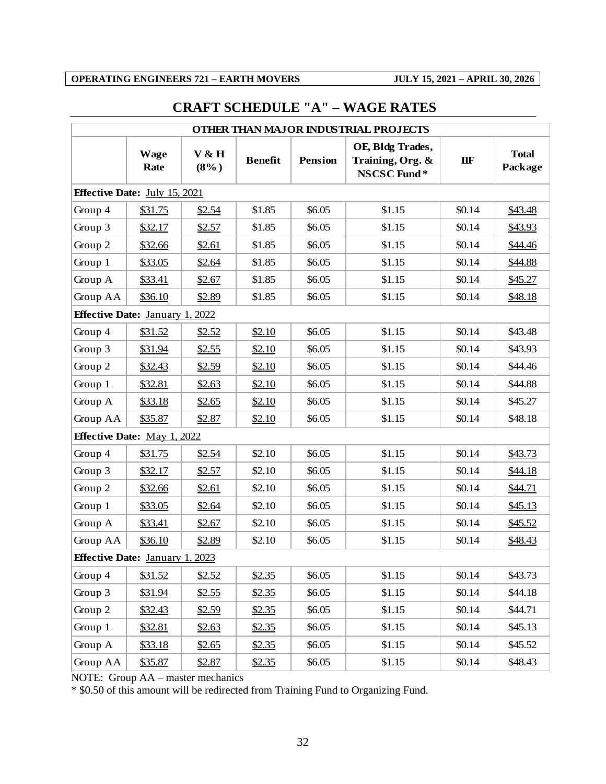## <span id="page-34-0"></span>**CRAFT SCHEDULE "A" – WAGE RATES**

| OTHER THAN MAJOR INDUSTRIAL PROJECTS   |                     |                  |                |                |                                                     |        |                         |  |  |  |
|----------------------------------------|---------------------|------------------|----------------|----------------|-----------------------------------------------------|--------|-------------------------|--|--|--|
|                                        | <b>Wage</b><br>Rate | V & H<br>$(8\%)$ | <b>Benefit</b> | <b>Pension</b> | OE, Bldg Trades,<br>Training, Org. &<br>NSCSC Fund* | IIF    | <b>Total</b><br>Package |  |  |  |
| <b>Effective Date:</b> July 15, 2021   |                     |                  |                |                |                                                     |        |                         |  |  |  |
| Group 4                                | \$31.75             | \$2.54           | \$1.85         | \$6.05         | \$1.15                                              | \$0.14 | \$43.48                 |  |  |  |
| Group 3                                | \$32.17             | \$2.57           | \$1.85         | \$6.05         | \$1.15                                              | \$0.14 | \$43.93                 |  |  |  |
| Group 2                                | \$32.66             | \$2.61           | \$1.85         | \$6.05         | \$1.15                                              | \$0.14 | \$44.46                 |  |  |  |
| Group 1                                | \$33.05             | \$2.64           | \$1.85         | \$6.05         | \$1.15                                              | \$0.14 | \$44.88                 |  |  |  |
| Group A                                | \$33.41             | \$2.67           | \$1.85         | \$6.05         | \$1.15                                              | \$0.14 | \$45.27                 |  |  |  |
| Group AA                               | \$36.10             | \$2.89           | \$1.85         | \$6.05         | \$1.15                                              | \$0.14 | \$48.18                 |  |  |  |
| <b>Effective Date: January 1, 2022</b> |                     |                  |                |                |                                                     |        |                         |  |  |  |
| Group 4                                | \$31.52             | \$2.52           | \$2.10         | \$6.05         | \$1.15                                              | \$0.14 | \$43.48                 |  |  |  |
| Group 3                                | \$31.94             | \$2.55           | \$2.10         | \$6.05         | \$1.15                                              | \$0.14 | \$43.93                 |  |  |  |
| Group 2                                | \$32.43             | \$2.59           | \$2.10         | \$6.05         | \$1.15                                              | \$0.14 | \$44.46                 |  |  |  |
| Group 1                                | \$32.81             | \$2.63           | \$2.10         | \$6.05         | \$1.15                                              | \$0.14 | \$44.88                 |  |  |  |
| Group A                                | \$33.18             | \$2.65           | \$2.10         | \$6.05         | \$1.15                                              | \$0.14 | \$45.27                 |  |  |  |
| Group AA                               | \$35.87             | \$2.87           | \$2.10         | \$6.05         | \$1.15                                              | \$0.14 | \$48.18                 |  |  |  |
| <b>Effective Date:</b> May 1, 2022     |                     |                  |                |                |                                                     |        |                         |  |  |  |
| Group 4                                | \$31.75             | \$2.54           | \$2.10         | \$6.05         | \$1.15                                              | \$0.14 | \$43.73                 |  |  |  |
| Group 3                                | \$32.17             | \$2.57           | \$2.10         | \$6.05         | \$1.15                                              | \$0.14 | \$44.18                 |  |  |  |
| Group 2                                | \$32.66             | \$2.61           | \$2.10         | \$6.05         | \$1.15                                              | \$0.14 | \$44.71                 |  |  |  |
| Group 1                                | \$33.05             | \$2.64           | \$2.10         | \$6.05         | \$1.15                                              | \$0.14 | \$45.13                 |  |  |  |
| Group A                                | \$33.41             | \$2.67           | \$2.10         | \$6.05         | \$1.15                                              | \$0.14 | \$45.52                 |  |  |  |
| Group AA                               | \$36.10             | \$2.89           | \$2.10         | \$6.05         | \$1.15                                              | \$0.14 | \$48.43                 |  |  |  |
| <b>Effective Date: January 1, 2023</b> |                     |                  |                |                |                                                     |        |                         |  |  |  |
| Group 4                                | \$31.52             | \$2.52           | \$2.35         | \$6.05         | \$1.15                                              | \$0.14 | \$43.73                 |  |  |  |
| Group 3                                | \$31.94             | \$2.55           | \$2.35         | \$6.05         | \$1.15                                              | \$0.14 | \$44.18                 |  |  |  |
| Group 2                                | \$32.43             | \$2.59           | \$2.35         | \$6.05         | \$1.15                                              | \$0.14 | \$44.71                 |  |  |  |
| Group 1                                | \$32.81             | \$2.63           | \$2.35         | \$6.05         | \$1.15                                              | \$0.14 | \$45.13                 |  |  |  |
| Group A                                | \$33.18             | \$2.65           | \$2.35         | \$6.05         | \$1.15                                              | \$0.14 | \$45.52                 |  |  |  |
| Group AA                               | \$35.87             | \$2.87           | \$2.35         | \$6.05         | \$1.15                                              | \$0.14 | \$48.43                 |  |  |  |

NOTE: Group AA – master mechanics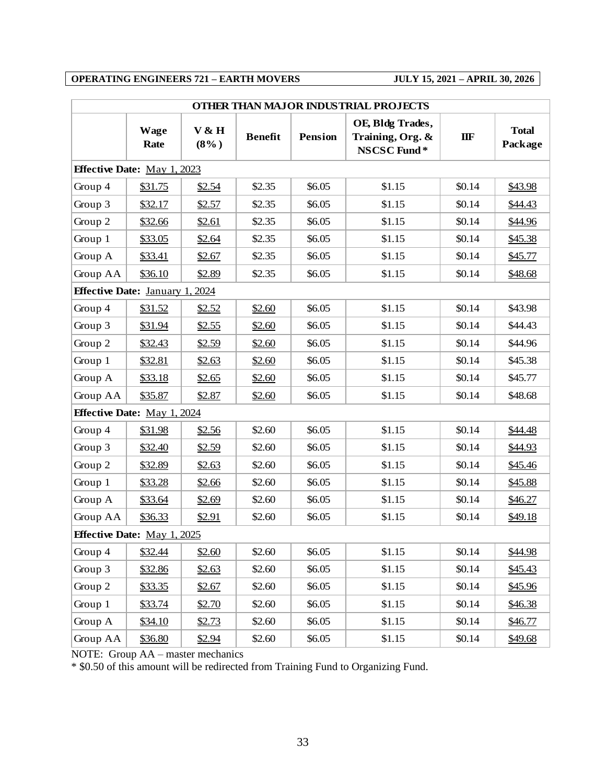| OTHER THAN MAJOR INDUSTRIAL PROJECTS   |                     |                  |                |                |                                                     |        |                         |  |  |
|----------------------------------------|---------------------|------------------|----------------|----------------|-----------------------------------------------------|--------|-------------------------|--|--|
|                                        | <b>Wage</b><br>Rate | V & H<br>$(8\%)$ | <b>Benefit</b> | <b>Pension</b> | OE, Bldg Trades,<br>Training, Org. &<br>NSCSC Fund* | IIF    | <b>Total</b><br>Package |  |  |
| <b>Effective Date:</b> May 1, 2023     |                     |                  |                |                |                                                     |        |                         |  |  |
| Group 4                                | \$31.75             | \$2.54           | \$2.35         | \$6.05         | \$1.15                                              | \$0.14 | \$43.98                 |  |  |
| Group 3                                | \$32.17             | \$2.57           | \$2.35         | \$6.05         | \$1.15                                              | \$0.14 | \$44.43                 |  |  |
| Group 2                                | \$32.66             | \$2.61           | \$2.35         | \$6.05         | \$1.15                                              | \$0.14 | \$44.96                 |  |  |
| Group 1                                | \$33.05             | \$2.64           | \$2.35         | \$6.05         | \$1.15                                              | \$0.14 | \$45.38                 |  |  |
| Group A                                | \$33.41             | \$2.67           | \$2.35         | \$6.05         | \$1.15                                              | \$0.14 | \$45.77                 |  |  |
| Group AA                               | \$36.10             | \$2.89           | \$2.35         | \$6.05         | \$1.15                                              | \$0.14 | \$48.68                 |  |  |
| <b>Effective Date: January 1, 2024</b> |                     |                  |                |                |                                                     |        |                         |  |  |
| Group 4                                | \$31.52             | \$2.52           | \$2.60         | \$6.05         | \$1.15                                              | \$0.14 | \$43.98                 |  |  |
| Group 3                                | \$31.94             | \$2.55           | \$2.60         | \$6.05         | \$1.15                                              | \$0.14 | \$44.43                 |  |  |
| Group 2                                | \$32.43             | \$2.59           | \$2.60         | \$6.05         | \$1.15                                              | \$0.14 | \$44.96                 |  |  |
| Group 1                                | \$32.81             | \$2.63           | \$2.60         | \$6.05         | \$1.15                                              | \$0.14 | \$45.38                 |  |  |
| Group A                                | \$33.18             | \$2.65           | \$2.60         | \$6.05         | \$1.15                                              | \$0.14 | \$45.77                 |  |  |
| Group AA                               | \$35.87             | \$2.87           | \$2.60         | \$6.05         | \$1.15                                              | \$0.14 | \$48.68                 |  |  |
| <b>Effective Date:</b> May 1, 2024     |                     |                  |                |                |                                                     |        |                         |  |  |
| Group 4                                | \$31.98             | \$2.56           | \$2.60         | \$6.05         | \$1.15                                              | \$0.14 | \$44.48                 |  |  |
| Group 3                                | \$32.40             | \$2.59           | \$2.60         | \$6.05         | \$1.15                                              | \$0.14 | \$44.93                 |  |  |
| Group 2                                | \$32.89             | \$2.63           | \$2.60         | \$6.05         | \$1.15                                              | \$0.14 | \$45.46                 |  |  |
| Group 1                                | \$33.28             | \$2.66           | \$2.60         | \$6.05         | \$1.15                                              | \$0.14 | \$45.88                 |  |  |
| Group A                                | \$33.64             | \$2.69           | \$2.60         | \$6.05         | \$1.15                                              | \$0.14 | \$46.27                 |  |  |
| Group AA                               | \$36.33             | \$2.91           | \$2.60         | \$6.05         | \$1.15                                              | \$0.14 | \$49.18                 |  |  |
| <b>Effective Date:</b> May 1, 2025     |                     |                  |                |                |                                                     |        |                         |  |  |
| Group 4                                | \$32.44             | \$2.60           | \$2.60         | \$6.05         | \$1.15                                              | \$0.14 | \$44.98                 |  |  |
| Group 3                                | \$32.86             | \$2.63           | \$2.60         | \$6.05         | \$1.15                                              | \$0.14 | \$45.43                 |  |  |
| Group 2                                | \$33.35             | \$2.67           | \$2.60         | \$6.05         | \$1.15                                              | \$0.14 | \$45.96                 |  |  |
| Group 1                                | \$33.74             | \$2.70           | \$2.60         | \$6.05         | \$1.15                                              | \$0.14 | \$46.38                 |  |  |
| Group A                                | \$34.10             | \$2.73           | \$2.60         | \$6.05         | \$1.15                                              | \$0.14 | \$46.77                 |  |  |
| Group AA                               | \$36.80             | \$2.94           | \$2.60         | \$6.05         | \$1.15                                              | \$0.14 | \$49.68                 |  |  |

NOTE: Group AA – master mechanics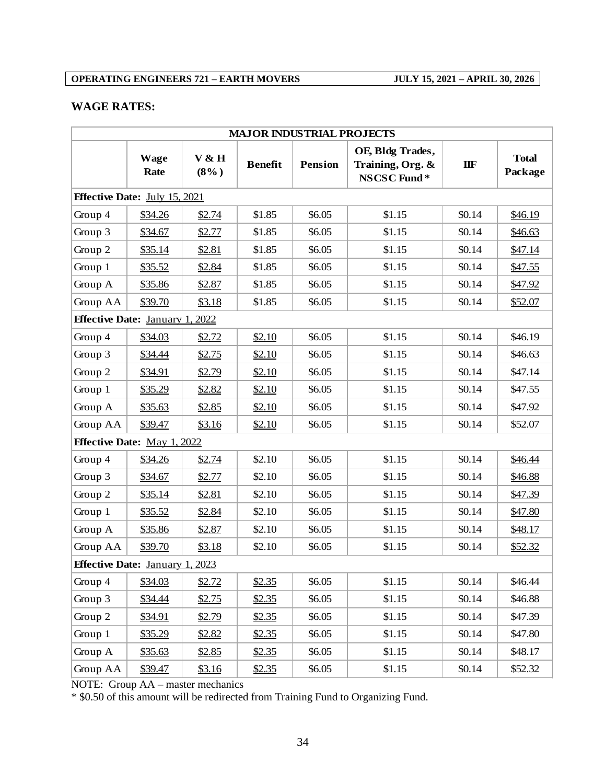## **WAGE RATES:**

| <b>MAJOR INDUSTRIAL PROJECTS</b>       |                     |                  |                |         |                                                     |        |                         |  |
|----------------------------------------|---------------------|------------------|----------------|---------|-----------------------------------------------------|--------|-------------------------|--|
|                                        | <b>Wage</b><br>Rate | V & H<br>$(8\%)$ | <b>Benefit</b> | Pension | OE, Bldg Trades,<br>Training, Org. &<br>NSCSC Fund* | IIF    | <b>Total</b><br>Package |  |
| <b>Effective Date:</b> July 15, 2021   |                     |                  |                |         |                                                     |        |                         |  |
| Group 4                                | \$34.26             | \$2.74           | \$1.85         | \$6.05  | \$1.15                                              | \$0.14 | \$46.19                 |  |
| Group 3                                | \$34.67             | \$2.77           | \$1.85         | \$6.05  | \$1.15                                              | \$0.14 | \$46.63                 |  |
| Group 2                                | \$35.14             | \$2.81           | \$1.85         | \$6.05  | \$1.15                                              | \$0.14 | \$47.14                 |  |
| Group 1                                | \$35.52             | \$2.84           | \$1.85         | \$6.05  | \$1.15                                              | \$0.14 | \$47.55                 |  |
| Group A                                | \$35.86             | \$2.87           | \$1.85         | \$6.05  | \$1.15                                              | \$0.14 | \$47.92                 |  |
| Group AA                               | \$39.70             | \$3.18           | \$1.85         | \$6.05  | \$1.15                                              | \$0.14 | \$52.07                 |  |
| <b>Effective Date: January 1, 2022</b> |                     |                  |                |         |                                                     |        |                         |  |
| Group 4                                | \$34.03             | \$2.72           | \$2.10         | \$6.05  | \$1.15                                              | \$0.14 | \$46.19                 |  |
| Group 3                                | \$34.44             | \$2.75           | \$2.10         | \$6.05  | \$1.15                                              | \$0.14 | \$46.63                 |  |
| Group 2                                | \$34.91             | \$2.79           | \$2.10         | \$6.05  | \$1.15                                              | \$0.14 | \$47.14                 |  |
| Group 1                                | \$35.29             | \$2.82           | \$2.10         | \$6.05  | \$1.15                                              | \$0.14 | \$47.55                 |  |
| Group A                                | \$35.63             | \$2.85           | \$2.10         | \$6.05  | \$1.15                                              | \$0.14 | \$47.92                 |  |
| Group AA                               | \$39.47             | \$3.16           | \$2.10         | \$6.05  | \$1.15                                              | \$0.14 | \$52.07                 |  |
| <b>Effective Date: May 1, 2022</b>     |                     |                  |                |         |                                                     |        |                         |  |
| Group 4                                | \$34.26             | \$2.74           | \$2.10         | \$6.05  | \$1.15                                              | \$0.14 | \$46.44                 |  |
| Group 3                                | \$34.67             | \$2.77           | \$2.10         | \$6.05  | \$1.15                                              | \$0.14 | \$46.88                 |  |
| Group 2                                | \$35.14             | \$2.81           | \$2.10         | \$6.05  | \$1.15                                              | \$0.14 | \$47.39                 |  |
| Group 1                                | \$35.52             | \$2.84           | \$2.10         | \$6.05  | \$1.15                                              | \$0.14 | \$47.80                 |  |
| Group A                                | \$35.86             | \$2.87           | \$2.10         | \$6.05  | \$1.15                                              | \$0.14 | \$48.17                 |  |
| Group AA                               | \$39.70             | \$3.18           | \$2.10         | \$6.05  | \$1.15                                              | \$0.14 | \$52.32                 |  |
| <b>Effective Date: January 1, 2023</b> |                     |                  |                |         |                                                     |        |                         |  |
| Group 4                                | \$34.03             | \$2.72           | \$2.35         | \$6.05  | \$1.15                                              | \$0.14 | \$46.44                 |  |
| Group 3                                | \$34.44             | \$2.75           | \$2.35         | \$6.05  | \$1.15                                              | \$0.14 | \$46.88                 |  |
| Group 2                                | <u>\$34.91</u>      | \$2.79           | \$2.35         | \$6.05  | \$1.15                                              | \$0.14 | \$47.39                 |  |
| Group 1                                | \$35.29             | \$2.82           | \$2.35         | \$6.05  | \$1.15                                              | \$0.14 | \$47.80                 |  |
| Group A                                | \$35.63             | \$2.85           | \$2.35         | \$6.05  | \$1.15                                              | \$0.14 | \$48.17                 |  |
| Group AA                               | \$39.47             | \$3.16           | \$2.35         | \$6.05  | \$1.15                                              | \$0.14 | \$52.32                 |  |

NOTE: Group AA – master mechanics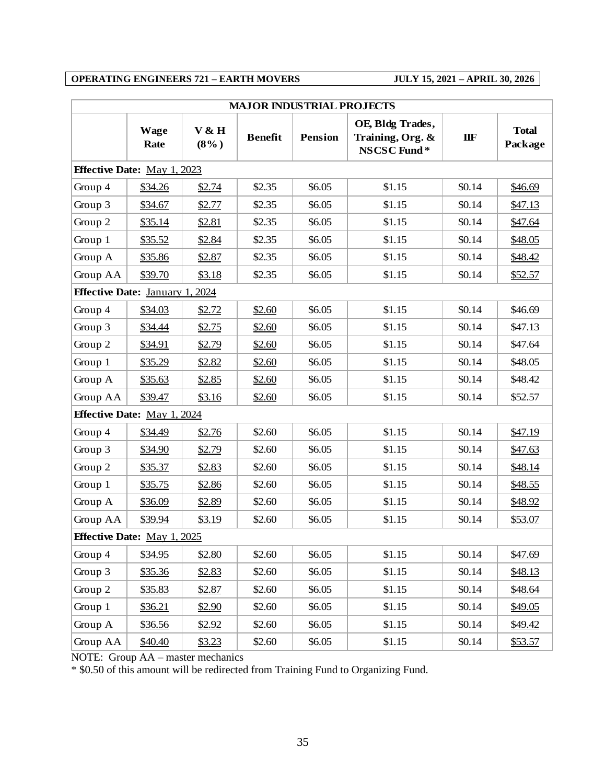| <b>MAJOR INDUSTRIAL PROJECTS</b>       |                     |                  |                |                |                                                     |        |                         |  |  |  |  |
|----------------------------------------|---------------------|------------------|----------------|----------------|-----------------------------------------------------|--------|-------------------------|--|--|--|--|
|                                        | <b>Wage</b><br>Rate | V & H<br>$(8\%)$ | <b>Benefit</b> | <b>Pension</b> | OE, Bldg Trades,<br>Training, Org. &<br>NSCSC Fund* | IIF    | <b>Total</b><br>Package |  |  |  |  |
| <b>Effective Date:</b> May 1, 2023     |                     |                  |                |                |                                                     |        |                         |  |  |  |  |
| Group 4                                | \$34.26             | \$2.74           | \$2.35         | \$6.05         | \$1.15                                              | \$0.14 | \$46.69                 |  |  |  |  |
| Group 3                                | \$34.67             | \$2.77           | \$2.35         | \$6.05         | \$1.15                                              | \$0.14 | \$47.13                 |  |  |  |  |
| Group 2                                | \$35.14             | \$2.81           | \$2.35         | \$6.05         | \$1.15                                              | \$0.14 | \$47.64                 |  |  |  |  |
| Group 1                                | \$35.52             | \$2.84           | \$2.35         | \$6.05         | \$1.15                                              | \$0.14 | \$48.05                 |  |  |  |  |
| Group A                                | \$35.86             | \$2.87           | \$2.35         | \$6.05         | \$1.15                                              | \$0.14 | \$48.42                 |  |  |  |  |
| Group AA                               | \$39.70             | \$3.18           | \$2.35         | \$6.05         | \$1.15                                              | \$0.14 | \$52.57                 |  |  |  |  |
| <b>Effective Date: January 1, 2024</b> |                     |                  |                |                |                                                     |        |                         |  |  |  |  |
| Group 4                                | \$34.03             | \$2.72           | \$2.60         | \$6.05         | \$1.15                                              | \$0.14 | \$46.69                 |  |  |  |  |
| Group 3                                | \$34.44             | \$2.75           | \$2.60         | \$6.05         | \$1.15                                              | \$0.14 | \$47.13                 |  |  |  |  |
| Group 2                                | \$34.91             | \$2.79           | \$2.60         | \$6.05         | \$1.15                                              | \$0.14 | \$47.64                 |  |  |  |  |
| Group 1                                | \$35.29             | \$2.82           | \$2.60         | \$6.05         | \$1.15                                              | \$0.14 | \$48.05                 |  |  |  |  |
| Group A                                | \$35.63             | \$2.85           | \$2.60         | \$6.05         | \$1.15                                              | \$0.14 | \$48.42                 |  |  |  |  |
| Group AA                               | \$39.47             | \$3.16           | \$2.60         | \$6.05         | \$1.15                                              | \$0.14 | \$52.57                 |  |  |  |  |
| <b>Effective Date:</b> May 1, 2024     |                     |                  |                |                |                                                     |        |                         |  |  |  |  |
| Group 4                                | \$34.49             | \$2.76           | \$2.60         | \$6.05         | \$1.15                                              | \$0.14 | \$47.19                 |  |  |  |  |
| Group 3                                | \$34.90             | \$2.79           | \$2.60         | \$6.05         | \$1.15                                              | \$0.14 | \$47.63                 |  |  |  |  |
| Group 2                                | \$35.37             | \$2.83           | \$2.60         | \$6.05         | \$1.15                                              | \$0.14 | \$48.14                 |  |  |  |  |
| Group 1                                | \$35.75             | \$2.86           | \$2.60         | \$6.05         | \$1.15                                              | \$0.14 | \$48.55                 |  |  |  |  |
| Group A                                | \$36.09             | \$2.89           | \$2.60         | \$6.05         | \$1.15                                              | \$0.14 | \$48.92                 |  |  |  |  |
| Group AA                               | \$39.94             | \$3.19           | \$2.60         | \$6.05         | \$1.15                                              | \$0.14 | \$53.07                 |  |  |  |  |
| <b>Effective Date:</b> May 1, 2025     |                     |                  |                |                |                                                     |        |                         |  |  |  |  |
| Group 4                                | \$34.95             | \$2.80           | \$2.60         | \$6.05         | \$1.15                                              | \$0.14 | \$47.69                 |  |  |  |  |
| Group 3                                | \$35.36             | \$2.83           | \$2.60         | \$6.05         | \$1.15                                              | \$0.14 | \$48.13                 |  |  |  |  |
| Group 2                                | \$35.83             | \$2.87           | \$2.60         | \$6.05         | \$1.15                                              | \$0.14 | \$48.64                 |  |  |  |  |
| Group 1                                | \$36.21             | \$2.90           | \$2.60         | \$6.05         | \$1.15                                              | \$0.14 | \$49.05                 |  |  |  |  |
| Group A                                | \$36.56             | \$2.92           | \$2.60         | \$6.05         | \$1.15                                              | \$0.14 | \$49.42                 |  |  |  |  |
| Group AA                               | \$40.40             | \$3.23           | \$2.60         | \$6.05         | \$1.15                                              | \$0.14 | \$53.57                 |  |  |  |  |

NOTE: Group AA – master mechanics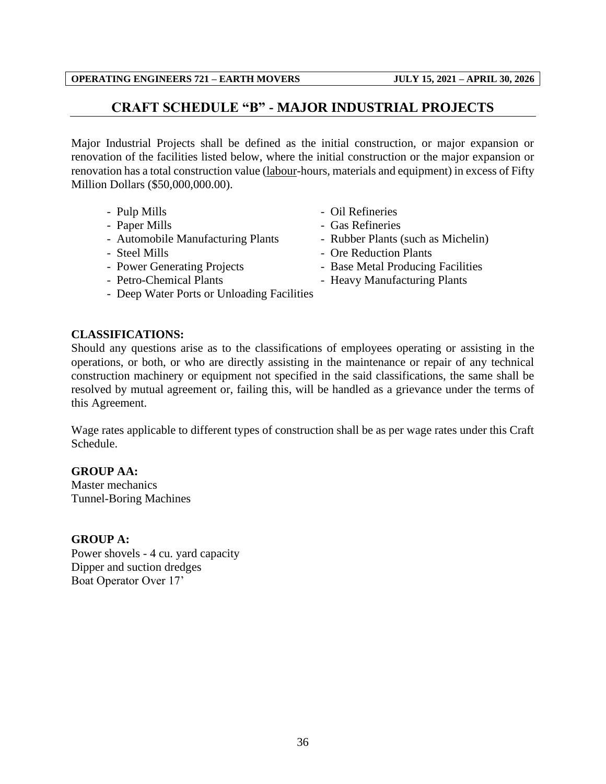## **CRAFT SCHEDULE "B" - MAJOR INDUSTRIAL PROJECTS**

<span id="page-38-0"></span>Major Industrial Projects shall be defined as the initial construction, or major expansion or renovation of the facilities listed below, where the initial construction or the major expansion or renovation has a total construction value (labour-hours, materials and equipment) in excess of Fifty Million Dollars (\$50,000,000.00).

- 
- 
- Automobile Manufacturing Plants Rubber Plants (such as Michelin)
- 
- 
- 
- Deep Water Ports or Unloading Facilities
- **CLASSIFICATIONS:**

Should any questions arise as to the classifications of employees operating or assisting in the operations, or both, or who are directly assisting in the maintenance or repair of any technical construction machinery or equipment not specified in the said classifications, the same shall be resolved by mutual agreement or, failing this, will be handled as a grievance under the terms of this Agreement.

Wage rates applicable to different types of construction shall be as per wage rates under this Craft Schedule.

**GROUP AA:**

Master mechanics Tunnel-Boring Machines

## **GROUP A:**

Power shovels - 4 cu. yard capacity Dipper and suction dredges Boat Operator Over 17'

- Pulp Mills Oil Refineries
- Paper Mills Gas Refineries
	-
- Steel Mills Ore Reduction Plants
- Power Generating Projects Base Metal Producing Facilities
- Petro-Chemical Plants Heavy Manufacturing Plants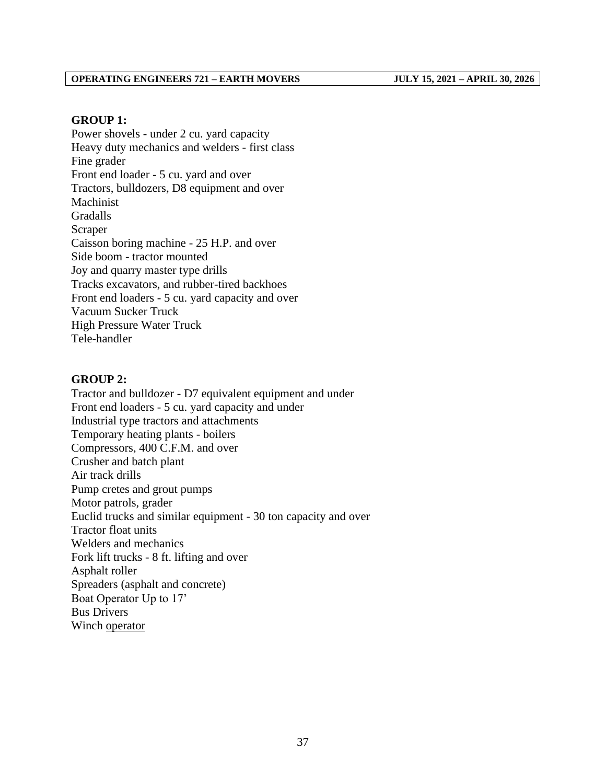#### **GROUP 1:**

Power shovels - under 2 cu. yard capacity Heavy duty mechanics and welders - first class Fine grader Front end loader - 5 cu. yard and over Tractors, bulldozers, D8 equipment and over Machinist Gradalls Scraper Caisson boring machine - 25 H.P. and over Side boom - tractor mounted Joy and quarry master type drills Tracks excavators, and rubber-tired backhoes Front end loaders - 5 cu. yard capacity and over Vacuum Sucker Truck High Pressure Water Truck Tele-handler

#### **GROUP 2:**

Tractor and bulldozer - D7 equivalent equipment and under Front end loaders - 5 cu. yard capacity and under Industrial type tractors and attachments Temporary heating plants - boilers Compressors, 400 C.F.M. and over Crusher and batch plant Air track drills Pump cretes and grout pumps Motor patrols, grader Euclid trucks and similar equipment - 30 ton capacity and over Tractor float units Welders and mechanics Fork lift trucks - 8 ft. lifting and over Asphalt roller Spreaders (asphalt and concrete) Boat Operator Up to 17' Bus Drivers Winch operator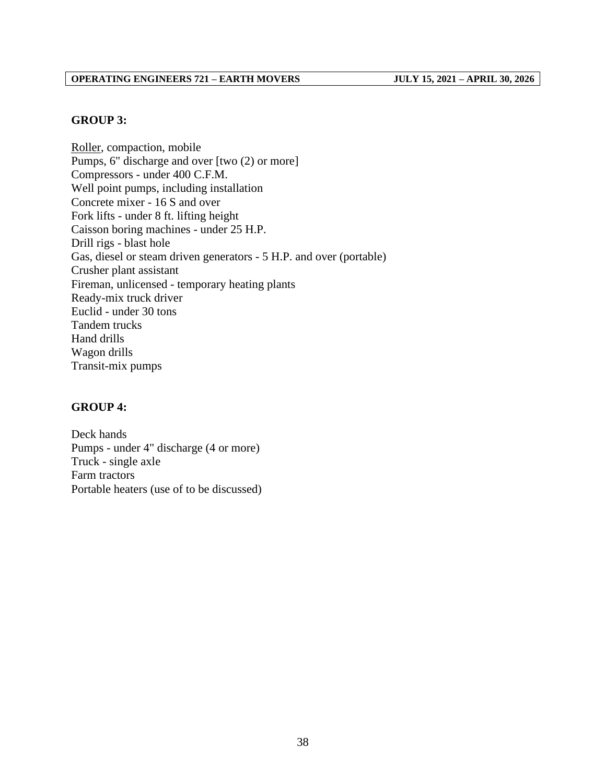#### **GROUP 3:**

Roller, compaction, mobile Pumps, 6" discharge and over [two (2) or more] Compressors - under 400 C.F.M. Well point pumps, including installation Concrete mixer - 16 S and over Fork lifts - under 8 ft. lifting height Caisson boring machines - under 25 H.P. Drill rigs - blast hole Gas, diesel or steam driven generators - 5 H.P. and over (portable) Crusher plant assistant Fireman, unlicensed - temporary heating plants Ready-mix truck driver Euclid - under 30 tons Tandem trucks Hand drills Wagon drills Transit-mix pumps

#### **GROUP 4:**

Deck hands Pumps - under 4" discharge (4 or more) Truck - single axle Farm tractors Portable heaters (use of to be discussed)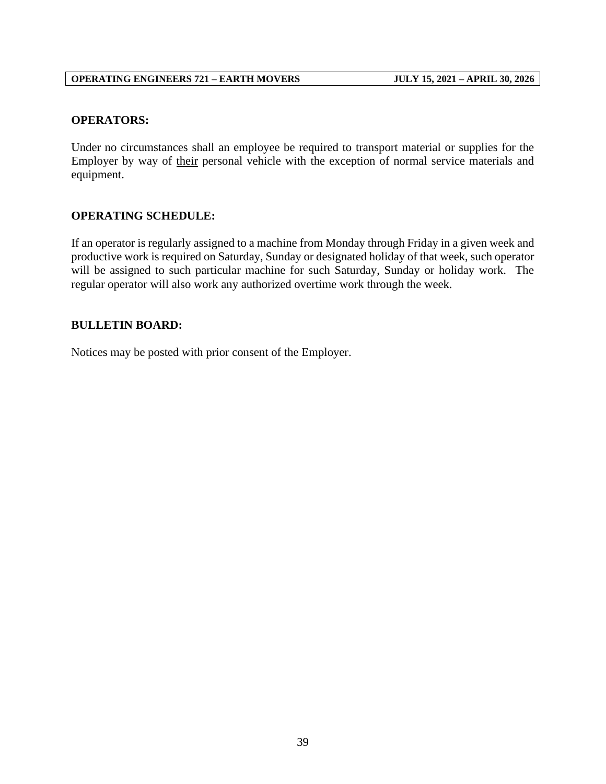## **OPERATORS:**

Under no circumstances shall an employee be required to transport material or supplies for the Employer by way of their personal vehicle with the exception of normal service materials and equipment.

## **OPERATING SCHEDULE:**

If an operator is regularly assigned to a machine from Monday through Friday in a given week and productive work is required on Saturday, Sunday or designated holiday of that week, such operator will be assigned to such particular machine for such Saturday, Sunday or holiday work. The regular operator will also work any authorized overtime work through the week.

## **BULLETIN BOARD:**

Notices may be posted with prior consent of the Employer.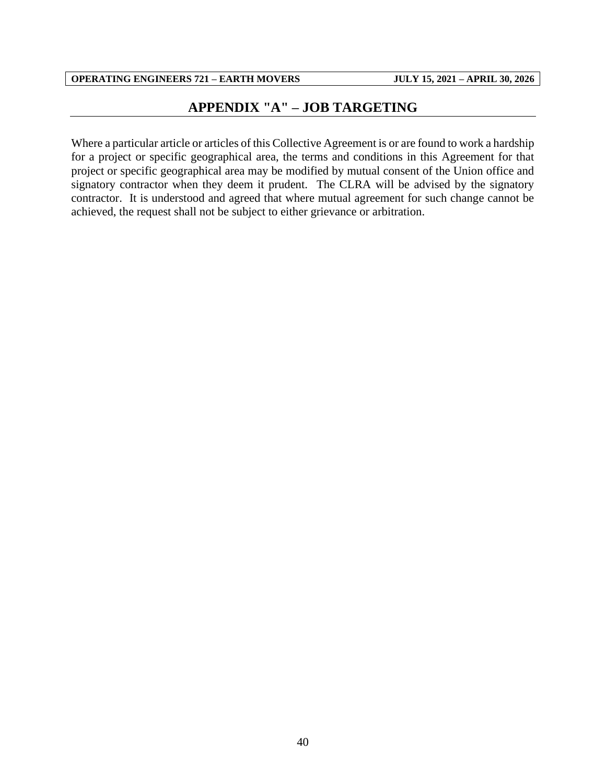## **APPENDIX "A" – JOB TARGETING**

<span id="page-42-0"></span>Where a particular article or articles of this Collective Agreement is or are found to work a hardship for a project or specific geographical area, the terms and conditions in this Agreement for that project or specific geographical area may be modified by mutual consent of the Union office and signatory contractor when they deem it prudent. The CLRA will be advised by the signatory contractor. It is understood and agreed that where mutual agreement for such change cannot be achieved, the request shall not be subject to either grievance or arbitration.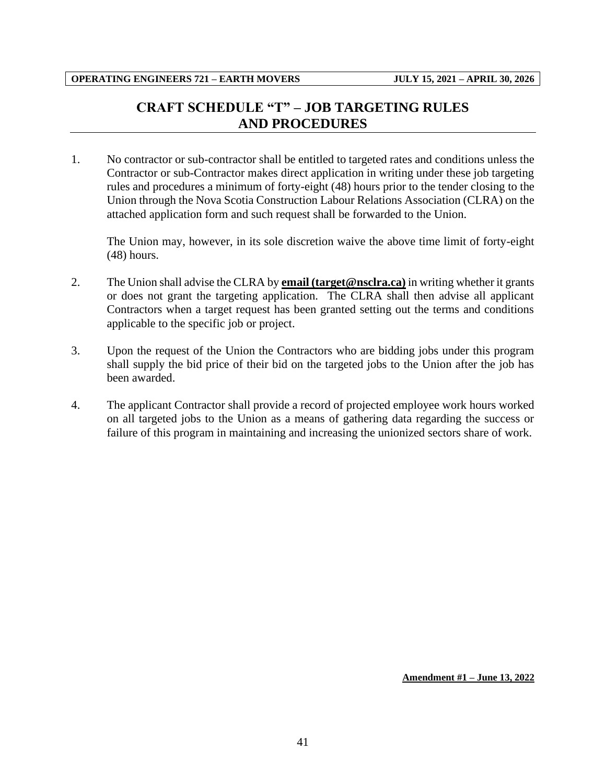## **CRAFT SCHEDULE "T" – JOB TARGETING RULES AND PROCEDURES**

<span id="page-43-0"></span>1. No contractor or sub-contractor shall be entitled to targeted rates and conditions unless the Contractor or sub-Contractor makes direct application in writing under these job targeting rules and procedures a minimum of forty-eight (48) hours prior to the tender closing to the Union through the Nova Scotia Construction Labour Relations Association (CLRA) on the attached application form and such request shall be forwarded to the Union.

The Union may, however, in its sole discretion waive the above time limit of forty-eight (48) hours.

- 2. The Union shall advise the CLRA by **email (target@nsclra.ca)** in writing whether it grants or does not grant the targeting application. The CLRA shall then advise all applicant Contractors when a target request has been granted setting out the terms and conditions applicable to the specific job or project.
- 3. Upon the request of the Union the Contractors who are bidding jobs under this program shall supply the bid price of their bid on the targeted jobs to the Union after the job has been awarded.
- 4. The applicant Contractor shall provide a record of projected employee work hours worked on all targeted jobs to the Union as a means of gathering data regarding the success or failure of this program in maintaining and increasing the unionized sectors share of work.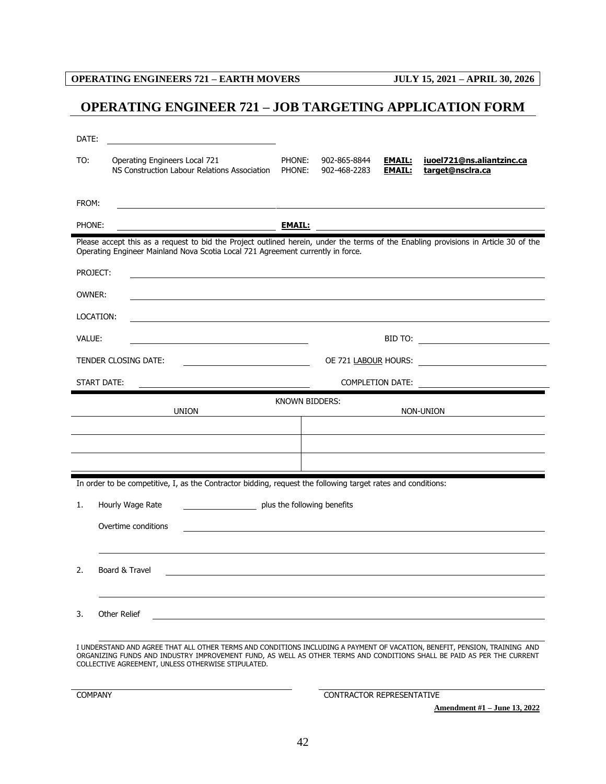## <span id="page-44-0"></span>**OPERATING ENGINEER 721 – JOB TARGETING APPLICATION FORM**

| DATE:                                                                                                                                                                                                                                                                                                      |                         |                                  |                                |                                               |  |  |  |  |  |
|------------------------------------------------------------------------------------------------------------------------------------------------------------------------------------------------------------------------------------------------------------------------------------------------------------|-------------------------|----------------------------------|--------------------------------|-----------------------------------------------|--|--|--|--|--|
| TO:<br>Operating Engineers Local 721<br>NS Construction Labour Relations Association                                                                                                                                                                                                                       | PHONE:<br>PHONE:        | 902-865-8844<br>902-468-2283     | <u>EMAIL:</u><br><b>EMAIL:</b> | iuoel721@ns.aliantzinc.ca<br>target@nsclra.ca |  |  |  |  |  |
| FROM:                                                                                                                                                                                                                                                                                                      |                         |                                  |                                |                                               |  |  |  |  |  |
| PHONE:                                                                                                                                                                                                                                                                                                     |                         |                                  |                                |                                               |  |  |  |  |  |
| Please accept this as a request to bid the Project outlined herein, under the terms of the Enabling provisions in Article 30 of the<br>Operating Engineer Mainland Nova Scotia Local 721 Agreement currently in force.                                                                                     |                         |                                  |                                |                                               |  |  |  |  |  |
| PROJECT:<br><u> 1989 - Johann Stoff, amerikansk politiker (d. 1989)</u>                                                                                                                                                                                                                                    |                         |                                  |                                |                                               |  |  |  |  |  |
| OWNER:                                                                                                                                                                                                                                                                                                     |                         |                                  |                                |                                               |  |  |  |  |  |
| LOCATION:                                                                                                                                                                                                                                                                                                  |                         |                                  |                                |                                               |  |  |  |  |  |
| VALUE:<br><u> 1989 - Johann Stein, marwolaethau a bhann an t-Amhair an t-Amhair an t-Amhair an t-Amhair an t-Amhair an t-A</u>                                                                                                                                                                             |                         |                                  |                                |                                               |  |  |  |  |  |
| TENDER CLOSING DATE:                                                                                                                                                                                                                                                                                       |                         |                                  |                                |                                               |  |  |  |  |  |
| START DATE:                                                                                                                                                                                                                                                                                                | <b>COMPLETION DATE:</b> |                                  |                                |                                               |  |  |  |  |  |
| <b>KNOWN BIDDERS:</b><br><b>UNION</b><br>NON-UNION<br><u> 1989 - Johann Barnett, fransk politik (d. 1989)</u>                                                                                                                                                                                              |                         |                                  |                                |                                               |  |  |  |  |  |
|                                                                                                                                                                                                                                                                                                            |                         |                                  |                                |                                               |  |  |  |  |  |
|                                                                                                                                                                                                                                                                                                            |                         |                                  |                                |                                               |  |  |  |  |  |
|                                                                                                                                                                                                                                                                                                            |                         |                                  |                                |                                               |  |  |  |  |  |
| In order to be competitive, I, as the Contractor bidding, request the following target rates and conditions:                                                                                                                                                                                               |                         |                                  |                                |                                               |  |  |  |  |  |
| plus the following benefits<br>Hourly Wage Rate<br>1.                                                                                                                                                                                                                                                      |                         |                                  |                                |                                               |  |  |  |  |  |
| Overtime conditions                                                                                                                                                                                                                                                                                        |                         |                                  |                                |                                               |  |  |  |  |  |
|                                                                                                                                                                                                                                                                                                            |                         |                                  |                                |                                               |  |  |  |  |  |
| Board & Travel<br>2                                                                                                                                                                                                                                                                                        |                         |                                  |                                |                                               |  |  |  |  |  |
|                                                                                                                                                                                                                                                                                                            |                         |                                  |                                |                                               |  |  |  |  |  |
| Other Relief<br>3.                                                                                                                                                                                                                                                                                         |                         |                                  |                                |                                               |  |  |  |  |  |
|                                                                                                                                                                                                                                                                                                            |                         |                                  |                                |                                               |  |  |  |  |  |
| I UNDERSTAND AND AGREE THAT ALL OTHER TERMS AND CONDITIONS INCLUDING A PAYMENT OF VACATION, BENEFIT, PENSION, TRAINING AND<br>ORGANIZING FUNDS AND INDUSTRY IMPROVEMENT FUND, AS WELL AS OTHER TERMS AND CONDITIONS SHALL BE PAID AS PER THE CURRENT<br>COLLECTIVE AGREEMENT, UNLESS OTHERWISE STIPULATED. |                         |                                  |                                |                                               |  |  |  |  |  |
| <b>COMPANY</b>                                                                                                                                                                                                                                                                                             |                         | <b>CONTRACTOR REPRESENTATIVE</b> |                                |                                               |  |  |  |  |  |